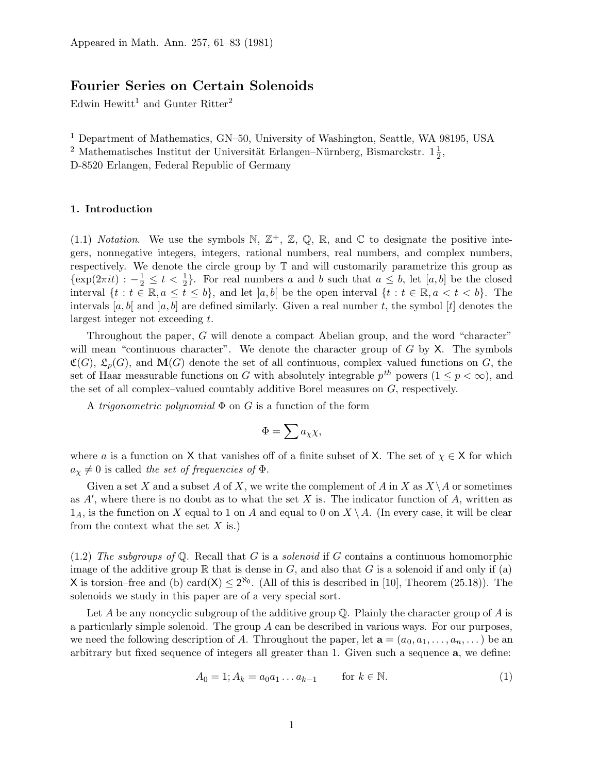# Fourier Series on Certain Solenoids

Edwin Hewitt<sup>1</sup> and Gunter Ritter<sup>2</sup>

<sup>1</sup> Department of Mathematics, GN–50, University of Washington, Seattle, WA 98195, USA

<sup>2</sup> Mathematisches Institut der Universität Erlangen–Nürnberg, Bismarckstr.  $1\frac{1}{2}$  $\frac{1}{2}$ ,

D-8520 Erlangen, Federal Republic of Germany

## 1. Introduction

(1.1) Notation. We use the symbols N,  $\mathbb{Z}^+$ ,  $\mathbb{Z}$ ,  $\mathbb{Q}$ , R, and C to designate the positive integers, nonnegative integers, integers, rational numbers, real numbers, and complex numbers, respectively. We denote the circle group by  $\mathbb T$  and will customarily parametrize this group as  $\{\exp(2\pi it) : -\frac{1}{2} \leq t < \frac{1}{2}\}$  $\frac{1}{2}$ . For real numbers a and b such that  $a \leq b$ , let  $[a, b]$  be the closed interval  $\{t : t \in \mathbb{R}, a \leq \overline{t} \leq b\}$ , and let  $[a, b]$  be the open interval  $\{t : t \in \mathbb{R}, a < t < b\}$ . The intervals [a, b] and [a, b] are defined similarly. Given a real number t, the symbol [t] denotes the largest integer not exceeding t.

Throughout the paper, G will denote a compact Abelian group, and the word "character" will mean "continuous character". We denote the character group of  $G$  by  $X$ . The symbols  $\mathfrak{C}(G)$ ,  $\mathfrak{L}_n(G)$ , and  $\mathbf{M}(G)$  denote the set of all continuous, complex–valued functions on G, the set of Haar measurable functions on G with absolutely integrable  $p^{th}$  powers  $(1 \leq p < \infty)$ , and the set of all complex–valued countably additive Borel measures on G, respectively.

A *trigonometric polynomial*  $\Phi$  on  $G$  is a function of the form

$$
\Phi=\sum a_{\chi}\chi,
$$

where a is a function on X that vanishes off of a finite subset of X. The set of  $\chi \in X$  for which  $a_{\chi} \neq 0$  is called the set of frequencies of  $\Phi$ .

Given a set X and a subset A of X, we write the complement of A in X as  $X \setminus A$  or sometimes as  $A'$ , where there is no doubt as to what the set X is. The indicator function of  $A$ , written as  $1_A$ , is the function on X equal to 1 on A and equal to 0 on  $X \setminus A$ . (In every case, it will be clear from the context what the set  $X$  is.)

 $(1.2)$  The subgroups of Q. Recall that G is a solenoid if G contains a continuous homomorphic image of the additive group  $\mathbb R$  that is dense in G, and also that G is a solenoid if and only if (a) X is torsion–free and (b) card(X)  $\leq 2^{\aleph_0}$ . (All of this is described in [10], Theorem (25.18)). The solenoids we study in this paper are of a very special sort.

Let A be any noncyclic subgroup of the additive group  $\mathbb{O}$ . Plainly the character group of A is a particularly simple solenoid. The group  $A$  can be described in various ways. For our purposes, we need the following description of A. Throughout the paper, let  $\mathbf{a} = (a_0, a_1, \ldots, a_n, \ldots)$  be an arbitrary but fixed sequence of integers all greater than 1. Given such a sequence a, we define:

$$
A_0 = 1; A_k = a_0 a_1 \dots a_{k-1} \qquad \text{for } k \in \mathbb{N}.
$$
 (1)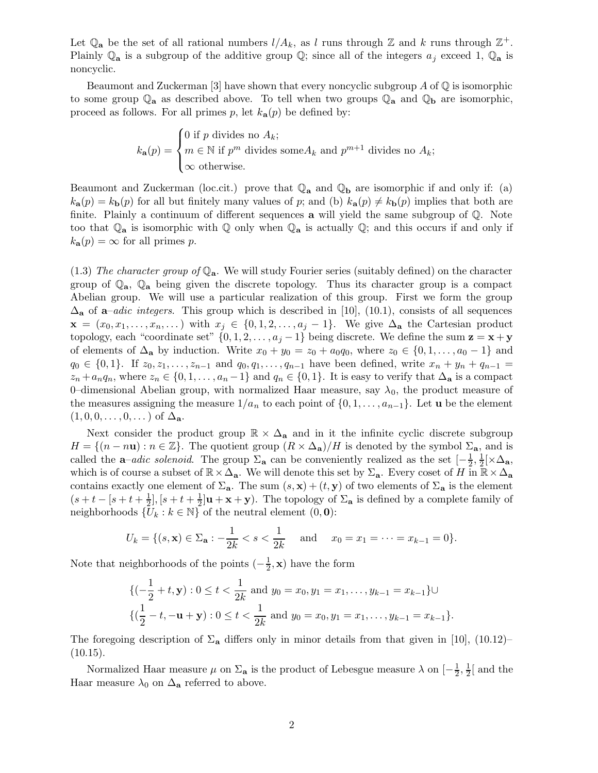Let  $\mathbb{Q}_a$  be the set of all rational numbers  $l/A_k$ , as l runs through  $\mathbb{Z}$  and k runs through  $\mathbb{Z}^+$ . Plainly  $\mathbb{Q}_a$  is a subgroup of the additive group  $\mathbb{Q}$ ; since all of the integers  $a_j$  exceed 1,  $\mathbb{Q}_a$  is noncyclic.

Beaumont and Zuckerman [3] have shown that every noncyclic subgroup A of  $\mathbb Q$  is isomorphic to some group  $\mathbb{Q}_a$  as described above. To tell when two groups  $\mathbb{Q}_a$  and  $\mathbb{Q}_b$  are isomorphic, proceed as follows. For all primes p, let  $k_{\mathbf{a}}(p)$  be defined by:

$$
k_{\mathbf{a}}(p) = \begin{cases} 0 \text{ if } p \text{ divides no } A_k; \\ m \in \mathbb{N} \text{ if } p^m \text{ divides some } A_k \text{ and } p^{m+1} \text{ divides no } A_k; \\ \infty \text{ otherwise.} \end{cases}
$$

Beaumont and Zuckerman (loc.cit.) prove that  $\mathbb{Q}_a$  and  $\mathbb{Q}_b$  are isomorphic if and only if: (a)  $k_{a}(p) = k_{b}(p)$  for all but finitely many values of p; and (b)  $k_{a}(p) \neq k_{b}(p)$  implies that both are finite. Plainly a continuum of different sequences a will yield the same subgroup of Q. Note too that  $\mathbb{Q}_a$  is isomorphic with  $\mathbb Q$  only when  $\mathbb Q_a$  is actually  $\mathbb Q$ ; and this occurs if and only if  $k_{\mathbf{a}}(p) = \infty$  for all primes p.

(1.3) The character group of  $\mathbb{Q}_a$ . We will study Fourier series (suitably defined) on the character group of  $\mathbb{Q}_a$ ,  $\mathbb{Q}_a$  being given the discrete topology. Thus its character group is a compact Abelian group. We will use a particular realization of this group. First we form the group  $\Delta_{\bf a}$  of  ${\bf a}$ –adic integers. This group which is described in [10], (10.1), consists of all sequences  $\mathbf{x} = (x_0, x_1, \dots, x_n, \dots)$  with  $x_j \in \{0, 1, 2, \dots, a_j - 1\}$ . We give  $\Delta_{\mathbf{a}}$  the Cartesian product topology, each "coordinate set"  $\{0, 1, 2, \ldots, a_j - 1\}$  being discrete. We define the sum  $\mathbf{z} = \mathbf{x} + \mathbf{y}$ of elements of  $\Delta_{\mathbf{a}}$  by induction. Write  $x_0 + y_0 = z_0 + a_0 q_0$ , where  $z_0 \in \{0, 1, \ldots, a_0 - 1\}$  and  $q_0 \in \{0,1\}$ . If  $z_0, z_1, \ldots, z_{n-1}$  and  $q_0, q_1, \ldots, q_{n-1}$  have been defined, write  $x_n + y_n + q_{n-1} =$  $z_n + a_n q_n$ , where  $z_n \in \{0, 1, \ldots, a_n - 1\}$  and  $q_n \in \{0, 1\}$ . It is easy to verify that  $\Delta_{\bf a}$  is a compact 0–dimensional Abelian group, with normalized Haar measure, say  $\lambda_0$ , the product measure of the measures assigning the measure  $1/a_n$  to each point of  $\{0, 1, \ldots, a_{n-1}\}$ . Let **u** be the element  $(1, 0, 0, \ldots, 0, \ldots)$  of  $\Delta_{\mathbf{a}}$ .

Next consider the product group  $\mathbb{R} \times \Delta_{\mathbf{a}}$  and in it the infinite cyclic discrete subgroup  $H = \{(n - n\mathbf{u}) : n \in \mathbb{Z}\}\.$  The quotient group  $(R \times \Delta_{\mathbf{a}})/H$  is denoted by the symbol  $\Sigma_{\mathbf{a}}$ , and is called the **a**–adic solenoid. The group  $\Sigma_a$  can be conveniently realized as the set  $\left[-\frac{1}{2}\right]$  $\frac{1}{2}, \frac{1}{2}$  $\frac{1}{2}[\times \Delta_{\mathbf{a}},$ which is of course a subset of  $\mathbb{R}\times\Delta_{\mathbf{a}}$ . We will denote this set by  $\Sigma_{\mathbf{a}}$ . Every coset of H in  $\mathbb{R}\times\Delta_{\mathbf{a}}$ contains exactly one element of  $\Sigma_a$ . The sum  $(s, x) + (t, y)$  of two elements of  $\Sigma_a$  is the element  $(s+t-[s+t+\frac{1}{2}]$  $\frac{1}{2}$ ,  $[s + t + \frac{1}{2}]$  $\frac{1}{2}|\mathbf{u}+\mathbf{x}+\mathbf{y})$ . The topology of  $\Sigma_{\mathbf{a}}$  is defined by a complete family of neighborhoods  $\{U_k : k \in \mathbb{N}\}\$  of the neutral element  $(0, 0)$ :

$$
U_k = \{(s, \mathbf{x}) \in \Sigma_{\mathbf{a}} : -\frac{1}{2k} < s < \frac{1}{2k} \quad \text{and} \quad x_0 = x_1 = \dots = x_{k-1} = 0\}.
$$

Note that neighborhoods of the points  $\left(-\frac{1}{2}\right)$  $(\frac{1}{2}, \mathbf{x})$  have the form

$$
\{(-\frac{1}{2} + t, \mathbf{y}) : 0 \le t < \frac{1}{2k} \text{ and } y_0 = x_0, y_1 = x_1, \dots, y_{k-1} = x_{k-1}\} \cup
$$
  

$$
\{(\frac{1}{2} - t, -\mathbf{u} + \mathbf{y}) : 0 \le t < \frac{1}{2k} \text{ and } y_0 = x_0, y_1 = x_1, \dots, y_{k-1} = x_{k-1}\}.
$$

The foregoing description of  $\Sigma_a$  differs only in minor details from that given in [10], (10.12)–  $(10.15).$ 

Normalized Haar measure  $\mu$  on  $\Sigma_a$  is the product of Lebesgue measure  $\lambda$  on  $\left[-\frac{1}{2}\right]$  $\frac{1}{2}, \frac{1}{2}$  $\frac{1}{2}$  and the Haar measure  $\lambda_0$  on  $\Delta_{\mathbf{a}}$  referred to above.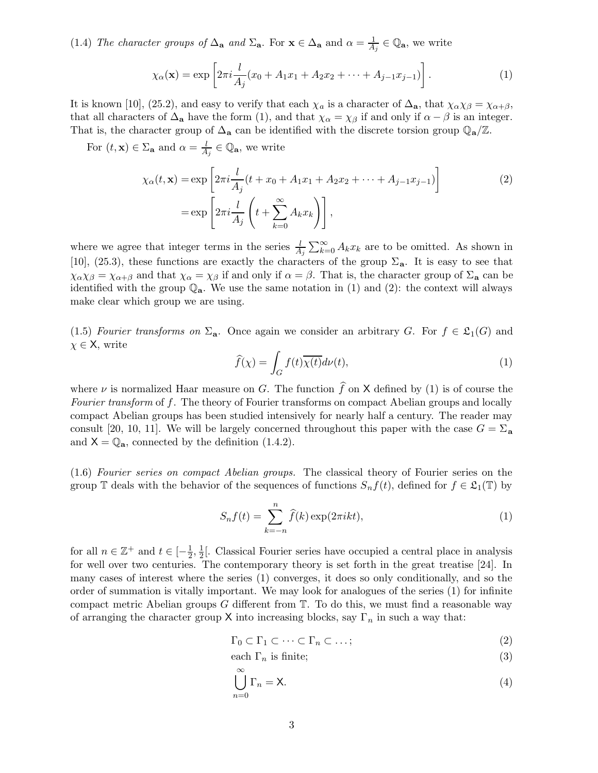(1.4) The character groups of  $\Delta_{\bf a}$  and  $\Sigma_{\bf a}$ . For  ${\bf x} \in \Delta_{\bf a}$  and  $\alpha = \frac{1}{4}$  $\frac{1}{A_j} \in \mathbb{Q}_a$ , we write

$$
\chi_{\alpha}(\mathbf{x}) = \exp\left[2\pi i \frac{l}{A_j}(x_0 + A_1 x_1 + A_2 x_2 + \dots + A_{j-1} x_{j-1})\right].
$$
 (1)

It is known [10], (25.2), and easy to verify that each  $\chi_a$  is a character of  $\Delta_a$ , that  $\chi_{\alpha}\chi_{\beta} = \chi_{\alpha+\beta}$ , that all characters of  $\Delta_{\mathbf{a}}$  have the form (1), and that  $\chi_{\alpha} = \chi_{\beta}$  if and only if  $\alpha - \beta$  is an integer. That is, the character group of  $\Delta_{\bf a}$  can be identified with the discrete torsion group  $\mathbb{Q}_{\bf a}/\mathbb{Z}$ .

For  $(t, \mathbf{x}) \in \Sigma_a$  and  $\alpha = \frac{l}{4}$  $\frac{l}{A_j} \in \mathbb{Q}_a$ , we write

$$
\chi_{\alpha}(t, \mathbf{x}) = \exp\left[2\pi i \frac{l}{A_j}(t + x_0 + A_1 x_1 + A_2 x_2 + \dots + A_{j-1} x_{j-1})\right]
$$
  
= 
$$
\exp\left[2\pi i \frac{l}{A_j}\left(t + \sum_{k=0}^{\infty} A_k x_k\right)\right],
$$
 (2)

where we agree that integer terms in the series  $\frac{l}{A_j} \sum_{k=0}^{\infty} A_k x_k$  are to be omitted. As shown in [10], (25.3), these functions are exactly the characters of the group  $\Sigma_a$ . It is easy to see that  $\chi_{\alpha}\chi_{\beta} = \chi_{\alpha+\beta}$  and that  $\chi_{\alpha} = \chi_{\beta}$  if and only if  $\alpha = \beta$ . That is, the character group of  $\Sigma_{\mathbf{a}}$  can be identified with the group  $\mathbb{Q}_a$ . We use the same notation in (1) and (2): the context will always make clear which group we are using.

(1.5) Fourier transforms on  $\Sigma_a$ . Once again we consider an arbitrary G. For  $f \in \mathfrak{L}_1(G)$  and  $\chi \in \mathsf{X}$ , write

$$
\widehat{f}(\chi) = \int_G f(t)\overline{\chi(t)}d\nu(t),\tag{1}
$$

where  $\nu$  is normalized Haar measure on G. The function  $\hat{f}$  on X defined by (1) is of course the Fourier transform of f. The theory of Fourier transforms on compact Abelian groups and locally compact Abelian groups has been studied intensively for nearly half a century. The reader may consult [20, 10, 11]. We will be largely concerned throughout this paper with the case  $G = \Sigma_a$ and  $X = \mathbb{Q}_a$ , connected by the definition (1.4.2).

(1.6) Fourier series on compact Abelian groups. The classical theory of Fourier series on the group T deals with the behavior of the sequences of functions  $S_n f(t)$ , defined for  $f \in \mathfrak{L}_1(\mathbb{T})$  by

$$
S_n f(t) = \sum_{k=-n}^{n} \hat{f}(k) \exp(2\pi i kt),
$$
\n(1)

for all  $n \in \mathbb{Z}^+$  and  $t \in \left[-\frac{1}{2}\right]$  $\frac{1}{2}, \frac{1}{2}$  $\frac{1}{2}$ . Classical Fourier series have occupied a central place in analysis for well over two centuries. The contemporary theory is set forth in the great treatise [24]. In many cases of interest where the series (1) converges, it does so only conditionally, and so the order of summation is vitally important. We may look for analogues of the series (1) for infinite compact metric Abelian groups  $G$  different from  $T$ . To do this, we must find a reasonable way of arranging the character group X into increasing blocks, say  $\Gamma_n$  in such a way that:

$$
\Gamma_0 \subset \Gamma_1 \subset \cdots \subset \Gamma_n \subset \ldots;
$$
\n<sup>(2)</sup>

each 
$$
\Gamma_n
$$
 is finite; (3)

$$
\bigcup_{n=0}^{\infty} \Gamma_n = \mathsf{X}.\tag{4}
$$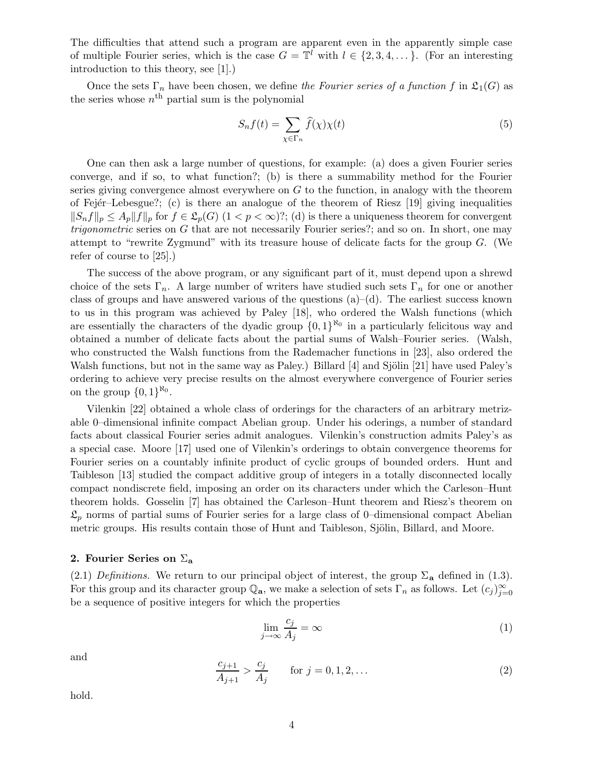The difficulties that attend such a program are apparent even in the apparently simple case of multiple Fourier series, which is the case  $G = \mathbb{T}^l$  with  $l \in \{2, 3, 4, \dots\}$ . (For an interesting introduction to this theory, see [1].)

Once the sets  $\Gamma_n$  have been chosen, we define the Fourier series of a function f in  $\mathfrak{L}_1(G)$  as the series whose  $n<sup>th</sup>$  partial sum is the polynomial

$$
S_n f(t) = \sum_{\chi \in \Gamma_n} \widehat{f}(\chi) \chi(t) \tag{5}
$$

One can then ask a large number of questions, for example: (a) does a given Fourier series converge, and if so, to what function?; (b) is there a summability method for the Fourier series giving convergence almost everywhere on  $G$  to the function, in analogy with the theorem of Fejér–Lebesgue?; (c) is there an analogue of the theorem of Riesz  $[19]$  giving inequalities  $||S_nf||_p \leq A_p||f||_p$  for  $f \in \mathfrak{L}_p(G)$   $(1 < p < \infty)$ ?; (d) is there a uniqueness theorem for convergent trigonometric series on G that are not necessarily Fourier series?; and so on. In short, one may attempt to "rewrite Zygmund" with its treasure house of delicate facts for the group  $G$ . (We refer of course to [25].)

The success of the above program, or any significant part of it, must depend upon a shrewd choice of the sets  $\Gamma_n$ . A large number of writers have studied such sets  $\Gamma_n$  for one or another class of groups and have answered various of the questions  $(a)$ – $(d)$ . The earliest success known to us in this program was achieved by Paley [18], who ordered the Walsh functions (which are essentially the characters of the dyadic group  $\{0,1\}^{\aleph_0}$  in a particularly felicitous way and obtained a number of delicate facts about the partial sums of Walsh–Fourier series. (Walsh, who constructed the Walsh functions from the Rademacher functions in [23], also ordered the Walsh functions, but not in the same way as Paley.) Billard  $[4]$  and Sjölin [21] have used Paley's ordering to achieve very precise results on the almost everywhere convergence of Fourier series on the group  $\{0,1\}^{\aleph_0}$ .

Vilenkin [22] obtained a whole class of orderings for the characters of an arbitrary metrizable 0–dimensional infinite compact Abelian group. Under his oderings, a number of standard facts about classical Fourier series admit analogues. Vilenkin's construction admits Paley's as a special case. Moore [17] used one of Vilenkin's orderings to obtain convergence theorems for Fourier series on a countably infinite product of cyclic groups of bounded orders. Hunt and Taibleson [13] studied the compact additive group of integers in a totally disconnected locally compact nondiscrete field, imposing an order on its characters under which the Carleson–Hunt theorem holds. Gosselin [7] has obtained the Carleson–Hunt theorem and Riesz's theorem on  $\mathfrak{L}_p$  norms of partial sums of Fourier series for a large class of 0–dimensional compact Abelian metric groups. His results contain those of Hunt and Taibleson, Sjölin, Billard, and Moore.

## 2. Fourier Series on  $\Sigma_a$

(2.1) Definitions. We return to our principal object of interest, the group  $\Sigma_a$  defined in (1.3). For this group and its character group  $\mathbb{Q}_a$ , we make a selection of sets  $\Gamma_n$  as follows. Let  $(c_j)_{j=0}^\infty$ be a sequence of positive integers for which the properties

$$
\lim_{j \to \infty} \frac{c_j}{A_j} = \infty \tag{1}
$$

and

$$
\frac{c_{j+1}}{A_{j+1}} > \frac{c_j}{A_j} \qquad \text{for } j = 0, 1, 2, ... \tag{2}
$$

hold.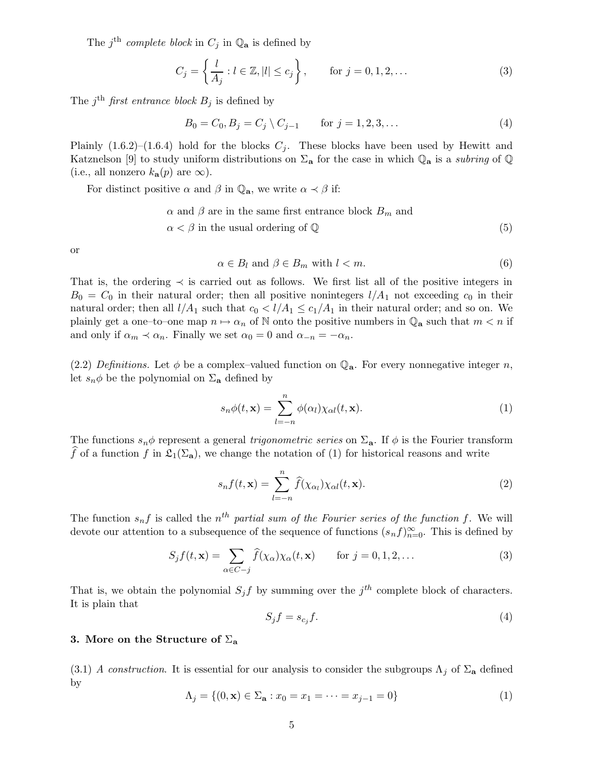The  $j^{\text{th}}$  complete block in  $C_j$  in  $\mathbb{Q}_a$  is defined by

$$
C_j = \left\{ \frac{l}{A_j} : l \in \mathbb{Z}, |l| \le c_j \right\}, \qquad \text{for } j = 0, 1, 2, \dots
$$
 (3)

The j<sup>th</sup> first entrance block  $B_j$  is defined by

$$
B_0 = C_0, B_j = C_j \setminus C_{j-1} \qquad \text{for } j = 1, 2, 3, ... \tag{4}
$$

Plainly  $(1.6.2)$ – $(1.6.4)$  hold for the blocks  $C_j$ . These blocks have been used by Hewitt and Katznelson [9] to study uniform distributions on  $\Sigma_a$  for the case in which  $\mathbb{Q}_a$  is a subring of  $\mathbb{Q}$ (i.e., all nonzero  $k_{a}(p)$  are  $\infty$ ).

For distinct positive  $\alpha$  and  $\beta$  in  $\mathbb{Q}_a$ , we write  $\alpha \prec \beta$  if:

$$
\alpha
$$
 and  $\beta$  are in the same first entrance block  $B_m$  and  $\alpha < \beta$  in the usual ordering of  $\mathbb{Q}$  (5)

or

$$
\alpha \in B_l \text{ and } \beta \in B_m \text{ with } l < m. \tag{6}
$$

That is, the ordering  $\prec$  is carried out as follows. We first list all of the positive integers in  $B_0 = C_0$  in their natural order; then all positive nonintegers  $l/A_1$  not exceeding  $c_0$  in their natural order; then all  $l/A_1$  such that  $c_0 < l/A_1 \leq c_1/A_1$  in their natural order; and so on. We plainly get a one–to–one map  $n \mapsto \alpha_n$  of N onto the positive numbers in  $\mathbb{Q}_a$  such that  $m < n$  if and only if  $\alpha_m \prec \alpha_n$ . Finally we set  $\alpha_0 = 0$  and  $\alpha_{-n} = -\alpha_n$ .

(2.2) Definitions. Let  $\phi$  be a complex–valued function on  $\mathbb{Q}_a$ . For every nonnegative integer n, let  $s_n \phi$  be the polynomial on  $\Sigma_a$  defined by

$$
s_n\phi(t,\mathbf{x}) = \sum_{l=-n}^{n} \phi(\alpha_l)\chi_{\alpha l}(t,\mathbf{x}).
$$
\n(1)

The functions  $s_n \phi$  represent a general *trigonometric series* on  $\Sigma_a$ . If  $\phi$  is the Fourier transform f of a function f in  $\mathfrak{L}_1(\Sigma_a)$ , we change the notation of (1) for historical reasons and write

$$
s_n f(t, \mathbf{x}) = \sum_{l=-n}^{n} \hat{f}(\chi_{\alpha_l}) \chi_{\alpha l}(t, \mathbf{x}).
$$
\n(2)

The function  $s_n f$  is called the  $n^{th}$  partial sum of the Fourier series of the function f. We will devote our attention to a subsequence of the sequence of functions  $(s_n f)_{n=0}^{\infty}$ . This is defined by

$$
S_j f(t, \mathbf{x}) = \sum_{\alpha \in C - j} \widehat{f}(\chi_\alpha) \chi_\alpha(t, \mathbf{x}) \quad \text{for } j = 0, 1, 2, \dots
$$
 (3)

That is, we obtain the polynomial  $S_j f$  by summing over the  $j<sup>th</sup>$  complete block of characters. It is plain that

$$
S_j f = s_{c_j} f. \tag{4}
$$

## 3. More on the Structure of  $\Sigma_a$

(3.1) A construction. It is essential for our analysis to consider the subgroups  $\Lambda_j$  of  $\Sigma_a$  defined by

$$
\Lambda_j = \{(0, \mathbf{x}) \in \Sigma_\mathbf{a} : x_0 = x_1 = \dots = x_{j-1} = 0\}
$$
\n(1)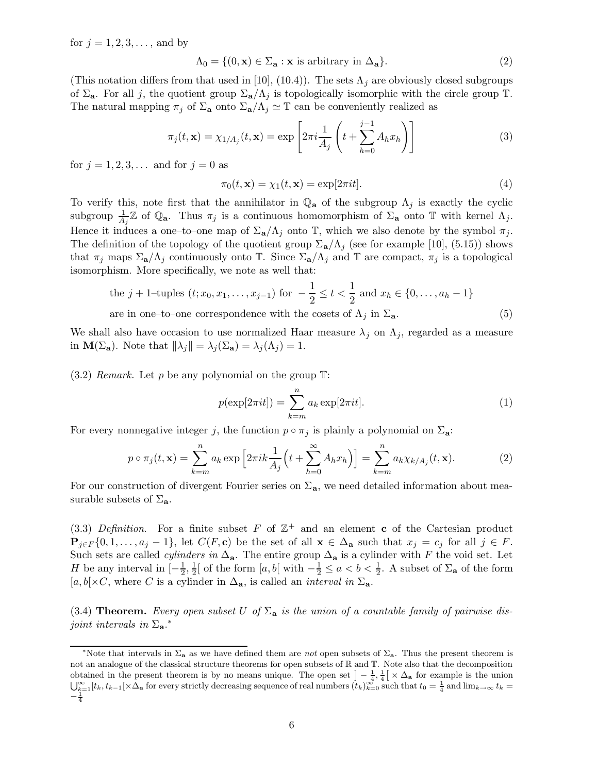for  $j = 1, 2, 3, \ldots$ , and by

$$
\Lambda_0 = \{ (0, \mathbf{x}) \in \Sigma_\mathbf{a} : \mathbf{x} \text{ is arbitrary in } \Delta_\mathbf{a} \}. \tag{2}
$$

(This notation differs from that used in [10], (10.4)). The sets  $\Lambda_i$  are obviously closed subgroups of  $\Sigma_a$ . For all j, the quotient group  $\Sigma_a/\Lambda_j$  is topologically isomorphic with the circle group  $\mathbb T$ . The natural mapping  $\pi_j$  of  $\Sigma_a$  onto  $\Sigma_a/\Lambda_j \simeq \mathbb{T}$  can be conveniently realized as

$$
\pi_j(t, \mathbf{x}) = \chi_{1/A_j}(t, \mathbf{x}) = \exp\left[2\pi i \frac{1}{A_j} \left(t + \sum_{h=0}^{j-1} A_h x_h\right)\right]
$$
(3)

for  $j = 1, 2, 3, ...$  and for  $j = 0$  as

$$
\pi_0(t, \mathbf{x}) = \chi_1(t, \mathbf{x}) = \exp[2\pi i t].\tag{4}
$$

To verify this, note first that the annihilator in  $\mathbb{Q}_a$  of the subgroup  $\Lambda_j$  is exactly the cyclic subgroup  $\frac{1}{A_j}\mathbb{Z}$  of  $\mathbb{Q}_a$ . Thus  $\pi_j$  is a continuous homomorphism of  $\Sigma_a$  onto T with kernel  $\Lambda_j$ . Hence it induces a one–to–one map of  $\Sigma_{\mathbf{a}}/\Lambda_j$  onto  $\mathbb{T}$ , which we also denote by the symbol  $\pi_j$ . The definition of the topology of the quotient group  $\Sigma_{\mathbf{a}}/\Lambda_j$  (see for example [10], (5.15)) shows that  $\pi_j$  maps  $\Sigma_a/\Lambda_j$  continuously onto T. Since  $\Sigma_a/\Lambda_j$  and T are compact,  $\pi_j$  is a topological isomorphism. More specifically, we note as well that:

the 
$$
j + 1
$$
-tuples  $(t; x_0, x_1, ..., x_{j-1})$  for  $-\frac{1}{2} \le t < \frac{1}{2}$  and  $x_h \in \{0, ..., a_h - 1\}$   
are in one-to-one correspondence with the cosets of  $\Lambda_j$  in  $\Sigma_a$ . (5)

We shall also have occasion to use normalized Haar measure  $\lambda_j$  on  $\Lambda_j$ , regarded as a measure in  $\mathbf{M}(\Sigma_{\mathbf{a}})$ . Note that  $\|\lambda_j\| = \lambda_j (\Sigma_{\mathbf{a}}) = \lambda_j (\Lambda_j) = 1$ .

 $(3.2)$  Remark. Let p be any polynomial on the group  $\mathbb{T}$ :

$$
p(\exp[2\pi i t]) = \sum_{k=m}^{n} a_k \exp[2\pi i t].
$$
 (1)

For every nonnegative integer j, the function  $p \circ \pi_j$  is plainly a polynomial on  $\Sigma_a$ :

$$
p \circ \pi_j(t, \mathbf{x}) = \sum_{k=m}^n a_k \exp\left[2\pi i k \frac{1}{A_j} \left(t + \sum_{h=0}^\infty A_h x_h\right)\right] = \sum_{k=m}^n a_k \chi_{k/A_j}(t, \mathbf{x}).\tag{2}
$$

For our construction of divergent Fourier series on  $\Sigma_a$ , we need detailed information about measurable subsets of  $\Sigma_a$ .

(3.3) Definition. For a finite subset F of  $\mathbb{Z}^+$  and an element c of the Cartesian product  $\mathbf{P}_{i\in F}\{0,1,\ldots,a_j-1\}$ , let  $C(F,\mathbf{c})$  be the set of all  $\mathbf{x}\in\Delta_{\mathbf{a}}$  such that  $x_j=c_j$  for all  $j\in F$ . Such sets are called *cylinders in*  $\Delta_{a}$ . The entire group  $\Delta_{a}$  is a cylinder with F the void set. Let H be any interval in  $\left[-\frac{1}{2}\right]$  $\frac{1}{2}, \frac{1}{2}$  $\frac{1}{2}$  of the form  $[a, b]$  with  $-\frac{1}{2} \le a < b < \frac{1}{2}$  $\frac{1}{2}$ . A subset of  $\Sigma_{\mathbf{a}}$  of the form  $[a, b] \times C$ , where C is a cylinder in  $\Delta_{\mathbf{a}}$ , is called an *interval in*  $\Sigma_{\mathbf{a}}$ .

(3.4) **Theorem.** Every open subset U of  $\Sigma_a$  is the union of a countable family of pairwise disjoint intervals in  $\Sigma_{\mathbf{a}}$ .\*

<sup>&</sup>lt;sup>\*</sup>Note that intervals in  $\Sigma$ <sub>a</sub> as we have defined them are *not* open subsets of  $\Sigma$ <sub>a</sub>. Thus the present theorem is not an analogue of the classical structure theorems for open subsets of R and T. Note also that the decomposition obtained in the present theorem is by no means unique. The open set  $-\frac{1}{4}, \frac{1}{4} \times \Delta_{\bf a}$  for example is the union  $\bigcup_{k=1}^{\infty} [t_k, t_{k-1}] \times \Delta_{\mathbf{a}}$  for every strictly decreasing sequence of real numbers  $(t_k)_{k=0}^{\infty}$  such that  $t_0 = \frac{1}{4}$  and  $\lim_{k \to \infty} t_k =$  $-\frac{1}{4}$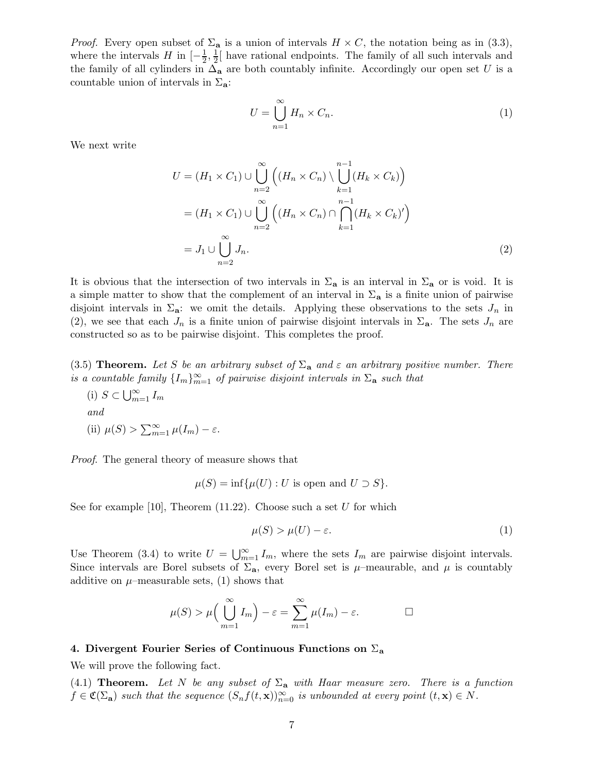*Proof.* Every open subset of  $\Sigma_a$  is a union of intervals  $H \times C$ , the notation being as in (3.3), where the intervals  $H$  in  $\left[-\frac{1}{2},\frac{1}{2}\right]$  $\frac{1}{2}$  have rational endpoints. The family of all such intervals and the family of all cylinders in  $\Delta_{\bf a}$  are both countably infinite. Accordingly our open set U is a countable union of intervals in  $\Sigma_a$ :

$$
U = \bigcup_{n=1}^{\infty} H_n \times C_n.
$$
 (1)

We next write

$$
U = (H_1 \times C_1) \cup \bigcup_{n=2}^{\infty} \left( (H_n \times C_n) \setminus \bigcup_{k=1}^{n-1} (H_k \times C_k) \right)
$$
  
= 
$$
(H_1 \times C_1) \cup \bigcup_{n=2}^{\infty} \left( (H_n \times C_n) \cap \bigcap_{k=1}^{n-1} (H_k \times C_k)' \right)
$$
  
= 
$$
J_1 \cup \bigcup_{n=2}^{\infty} J_n.
$$
 (2)

It is obvious that the intersection of two intervals in  $\Sigma_a$  is an interval in  $\Sigma_a$  or is void. It is a simple matter to show that the complement of an interval in  $\Sigma_a$  is a finite union of pairwise disjoint intervals in  $\Sigma_{\mathbf{a}}$ : we omit the details. Applying these observations to the sets  $J_n$  in (2), we see that each  $J_n$  is a finite union of pairwise disjoint intervals in  $\Sigma_a$ . The sets  $J_n$  are constructed so as to be pairwise disjoint. This completes the proof.

(3.5) Theorem. Let S be an arbitrary subset of  $\Sigma_a$  and  $\varepsilon$  an arbitrary positive number. There is a countable family  $\{I_m\}_{m=1}^{\infty}$  of pairwise disjoint intervals in  $\Sigma_{\mathbf{a}}$  such that

(i) 
$$
S \subset \bigcup_{m=1}^{\infty} I_m
$$
  
and  
(ii)  $\mu(S) > \sum_{m=1}^{\infty} \mu(I_m) - \varepsilon$ .

Proof. The general theory of measure shows that

$$
\mu(S) = \inf \{ \mu(U) : U \text{ is open and } U \supset S \}.
$$

See for example [10], Theorem  $(11.22)$ . Choose such a set U for which

$$
\mu(S) > \mu(U) - \varepsilon. \tag{1}
$$

Use Theorem (3.4) to write  $U = \bigcup_{m=1}^{\infty} I_m$ , where the sets  $I_m$  are pairwise disjoint intervals. Since intervals are Borel subsets of  $\Sigma_a$ , every Borel set is  $\mu$ –meaurable, and  $\mu$  is countably additive on  $\mu$ –measurable sets, (1) shows that

$$
\mu(S) > \mu\left(\bigcup_{m=1}^{\infty} I_m\right) - \varepsilon = \sum_{m=1}^{\infty} \mu(I_m) - \varepsilon.
$$

#### 4. Divergent Fourier Series of Continuous Functions on  $\Sigma_a$

We will prove the following fact.

(4.1) Theorem. Let N be any subset of  $\Sigma_a$  with Haar measure zero. There is a function  $f \in \mathfrak{C}(\Sigma_{\mathbf{a}})$  such that the sequence  $(S_n f(t, \mathbf{x}))_{n=0}^{\infty}$  is unbounded at every point  $(t, \mathbf{x}) \in N$ .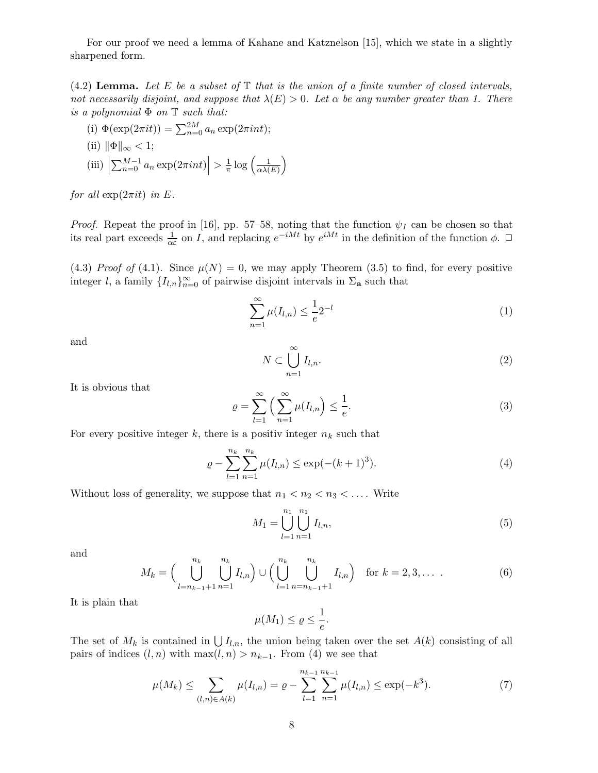For our proof we need a lemma of Kahane and Katznelson [15], which we state in a slightly sharpened form.

(4.2) Lemma. Let E be a subset of  $\mathbb T$  that is the union of a finite number of closed intervals, not necessarily disjoint, and suppose that  $\lambda(E) > 0$ . Let  $\alpha$  be any number greater than 1. There is a polynomial  $\Phi$  on  $\mathbb T$  such that:

 $\overline{ }$ 

(i)  $\Phi(\exp(2\pi it)) = \sum_{n=0}^{2M} a_n \exp(2\pi int);$ (ii)  $\|\Phi\|_{\infty} < 1;$  $(iii)$  $\sum_{n=0}^{M-1} a_n \exp(2\pi int) \Big| > \frac{1}{\pi}$  $rac{1}{\pi} \log \left( \frac{1}{\alpha \lambda} \right)$  $\alpha\lambda(E)$ 

for all  $\exp(2\pi i t)$  in E.

*Proof.* Repeat the proof in [16], pp. 57–58, noting that the function  $\psi_I$  can be chosen so that its real part exceeds  $\frac{1}{\alpha \varepsilon}$  on *I*, and replacing  $e^{-iMt}$  by  $e^{iMt}$  in the definition of the function  $\phi$ .  $\Box$ 

(4.3) Proof of (4.1). Since  $\mu(N) = 0$ , we may apply Theorem (3.5) to find, for every positive integer l, a family  $\{I_{l,n}\}_{n=0}^{\infty}$  of pairwise disjoint intervals in  $\Sigma_{\mathbf{a}}$  such that

$$
\sum_{n=1}^{\infty} \mu(I_{l,n}) \le \frac{1}{e} 2^{-l}
$$
 (1)

and

$$
N \subset \bigcup_{n=1}^{\infty} I_{l,n}.\tag{2}
$$

It is obvious that

$$
\varrho = \sum_{l=1}^{\infty} \left( \sum_{n=1}^{\infty} \mu(I_{l,n}) \le \frac{1}{e}.\right) \tag{3}
$$

For every positive integer k, there is a positiv integer  $n_k$  such that

$$
\varrho - \sum_{l=1}^{n_k} \sum_{n=1}^{n_k} \mu(I_{l,n}) \le \exp(-(k+1)^3). \tag{4}
$$

Without loss of generality, we suppose that  $n_1 < n_2 < n_3 < \ldots$ . Write

$$
M_1 = \bigcup_{l=1}^{n_1} \bigcup_{n=1}^{n_1} I_{l,n},\tag{5}
$$

and

$$
M_k = \left(\bigcup_{l=n_{k-1}+1}^{n_k} \bigcup_{n=1}^{n_k} I_{l,n}\right) \cup \left(\bigcup_{l=1}^{n_k} \bigcup_{n=n_{k-1}+1}^{n_k} I_{l,n}\right) \text{ for } k=2,3,\ldots \tag{6}
$$

It is plain that

$$
\mu(M_1) \le \varrho \le \frac{1}{e}.
$$

The set of  $M_k$  is contained in  $\bigcup I_{l,n}$ , the union being taken over the set  $A(k)$  consisting of all pairs of indices  $(l, n)$  with  $\max(l, n) > n_{k-1}$ . From (4) we see that

$$
\mu(M_k) \le \sum_{(l,n)\in A(k)} \mu(I_{l,n}) = \varrho - \sum_{l=1}^{n_{k-1}} \sum_{n=1}^{n_{k-1}} \mu(I_{l,n}) \le \exp(-k^3). \tag{7}
$$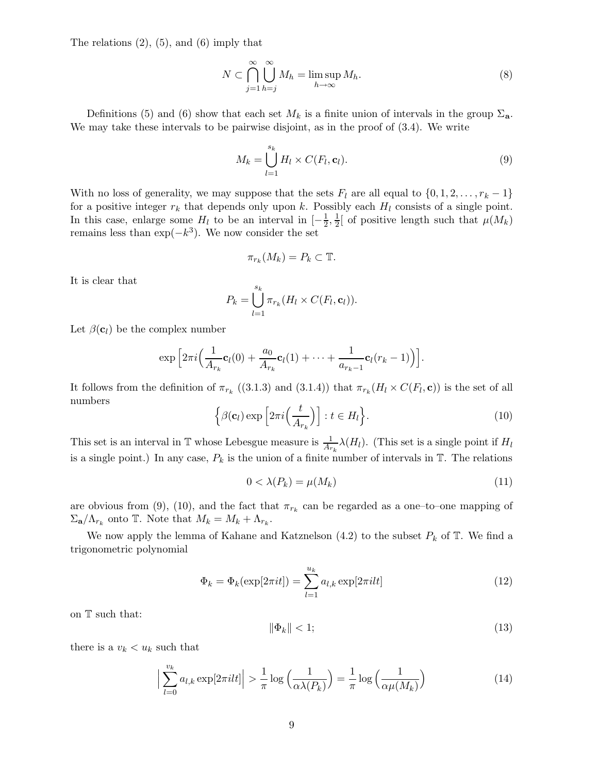The relations  $(2)$ ,  $(5)$ , and  $(6)$  imply that

$$
N \subset \bigcap_{j=1}^{\infty} \bigcup_{h=j}^{\infty} M_h = \limsup_{h \to \infty} M_h.
$$
 (8)

Definitions (5) and (6) show that each set  $M_k$  is a finite union of intervals in the group  $\Sigma_a$ . We may take these intervals to be pairwise disjoint, as in the proof of (3.4). We write

$$
M_k = \bigcup_{l=1}^{s_k} H_l \times C(F_l, \mathbf{c}_l). \tag{9}
$$

With no loss of generality, we may suppose that the sets  $F_l$  are all equal to  $\{0, 1, 2, \ldots, r_k - 1\}$ for a positive integer  $r_k$  that depends only upon k. Possibly each  $H_l$  consists of a single point. In this case, enlarge some  $H_l$  to be an interval in  $\left[-\frac{1}{2}\right]$  $\frac{1}{2}, \frac{1}{2}$  $\frac{1}{2}$  of positive length such that  $\mu(M_k)$ remains less than  $\exp(-k^3)$ . We now consider the set

$$
\pi_{r_k}(M_k) = P_k \subset \mathbb{T}.
$$

It is clear that

$$
P_k = \bigcup_{l=1}^{s_k} \pi_{r_k}(H_l \times C(F_l, \mathbf{c}_l)).
$$

Let  $\beta(\mathbf{c}_l)$  be the complex number

$$
\exp\Big[2\pi i\Big(\frac{1}{A_{r_k}}\mathbf{c}_l(0)+\frac{a_0}{A_{r_k}}\mathbf{c}_l(1)+\cdots+\frac{1}{a_{r_k-1}}\mathbf{c}_l(r_k-1)\Big)\Big].
$$

It follows from the definition of  $\pi_{r_k}$  ((3.1.3) and (3.1.4)) that  $\pi_{r_k}(H_l \times C(F_l, \mathbf{c}))$  is the set of all numbers

$$
\left\{ \beta(\mathbf{c}_l) \exp\left[2\pi i \left(\frac{t}{A_{r_k}}\right)\right] : t \in H_l \right\}.
$$
\n(10)

This set is an interval in  $\mathbb T$  whose Lebesgue measure is  $\frac{1}{A_{r_k}}\lambda(H_l)$ . (This set is a single point if  $H_l$ is a single point.) In any case,  $P_k$  is the union of a finite number of intervals in  $\mathbb T$ . The relations

$$
0 < \lambda(P_k) = \mu(M_k) \tag{11}
$$

are obvious from (9), (10), and the fact that  $\pi_{r_k}$  can be regarded as a one-to-one mapping of  $\Sigma_{\mathbf{a}}/\Lambda_{r_k}$  onto T. Note that  $M_k = M_k + \Lambda_{r_k}$ .

We now apply the lemma of Kahane and Katznelson  $(4.2)$  to the subset  $P_k$  of  $\mathbb T$ . We find a trigonometric polynomial

$$
\Phi_k = \Phi_k(\exp[2\pi i t]) = \sum_{l=1}^{u_k} a_{l,k} \exp[2\pi i l t]
$$
\n(12)

on T such that:

$$
\|\Phi_k\| < 1;\tag{13}
$$

there is a  $v_k < u_k$  such that

$$
\left| \sum_{l=0}^{v_k} a_{l,k} \exp\left[2\pi i l t\right] \right| > \frac{1}{\pi} \log\left(\frac{1}{\alpha \lambda(P_k)}\right) = \frac{1}{\pi} \log\left(\frac{1}{\alpha \mu(M_k)}\right) \tag{14}
$$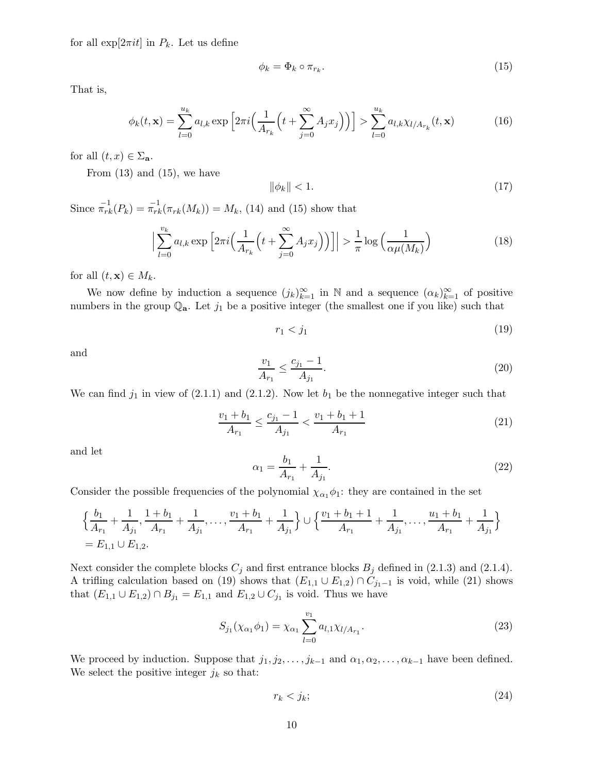for all  $\exp[2\pi it]$  in  $P_k$ . Let us define

$$
\phi_k = \Phi_k \circ \pi_{r_k}.\tag{15}
$$

That is,

$$
\phi_k(t, \mathbf{x}) = \sum_{l=0}^{u_k} a_{l,k} \exp\left[2\pi i \Big(\frac{1}{A_{r_k}}\Big(t + \sum_{j=0}^{\infty} A_j x_j\Big)\Big)\right] > \sum_{l=0}^{u_k} a_{l,k} \chi_{l/A_{r_k}}(t, \mathbf{x})
$$
(16)

for all  $(t, x) \in \Sigma_{\mathbf{a}}$ .

From  $(13)$  and  $(15)$ , we have

$$
\|\phi_k\| < 1. \tag{17}
$$

Since  $\pi_{rk}^{-1}(P_k) = \pi_{rk}^{-1}(\pi_{rk}(M_k)) = M_k$ , (14) and (15) show that

$$
\Big|\sum_{l=0}^{v_k} a_{l,k} \exp\Big[2\pi i \Big(\frac{1}{A_{r_k}}\Big(t+\sum_{j=0}^{\infty} A_j x_j\Big)\Big)\Big]\Big| > \frac{1}{\pi} \log\Big(\frac{1}{\alpha \mu(M_k)}\Big) \tag{18}
$$

for all  $(t, \mathbf{x}) \in M_k$ .

We now define by induction a sequence  $(j_k)_{k=1}^{\infty}$  in N and a sequence  $(\alpha_k)_{k=1}^{\infty}$  of positive numbers in the group  $\mathbb{Q}_a$ . Let  $j_1$  be a positive integer (the smallest one if you like) such that

 $r_1 < j_1$  (19)

and

$$
\frac{v_1}{A_{r_1}} \le \frac{c_{j_1} - 1}{A_{j_1}}.\tag{20}
$$

We can find  $j_1$  in view of (2.1.1) and (2.1.2). Now let  $b_1$  be the nonnegative integer such that

$$
\frac{v_1 + b_1}{A_{r_1}} \le \frac{c_{j_1} - 1}{A_{j_1}} < \frac{v_1 + b_1 + 1}{A_{r_1}}\tag{21}
$$

and let

$$
\alpha_1 = \frac{b_1}{A_{r_1}} + \frac{1}{A_{j_1}}.\tag{22}
$$

Consider the possible frequencies of the polynomial  $\chi_{\alpha_1} \phi_1$ : they are contained in the set

$$
\left\{\frac{b_1}{A_{r_1}} + \frac{1}{A_{j_1}}, \frac{1+b_1}{A_{r_1}} + \frac{1}{A_{j_1}}, \dots, \frac{v_1+b_1}{A_{r_1}} + \frac{1}{A_{j_1}}\right\} \cup \left\{\frac{v_1+b_1+1}{A_{r_1}} + \frac{1}{A_{j_1}}, \dots, \frac{u_1+b_1}{A_{r_1}} + \frac{1}{A_{j_1}}\right\}
$$
  
=  $E_{1,1} \cup E_{1,2}$ .

Next consider the complete blocks  $C_j$  and first entrance blocks  $B_j$  defined in (2.1.3) and (2.1.4). A trifling calculation based on (19) shows that  $(E_{1,1} \cup E_{1,2}) \cap C_{j_1-1}$  is void, while (21) shows that  $(E_{1,1} \cup E_{1,2}) \cap B_{j_1} = E_{1,1}$  and  $E_{1,2} \cup C_{j_1}$  is void. Thus we have

$$
S_{j_1}(\chi_{\alpha_1}\phi_1) = \chi_{\alpha_1} \sum_{l=0}^{v_1} a_{l,1} \chi_{l/A_{r_1}}.
$$
 (23)

We proceed by induction. Suppose that  $j_1, j_2, \ldots, j_{k-1}$  and  $\alpha_1, \alpha_2, \ldots, \alpha_{k-1}$  have been defined. We select the positive integer  $j_k$  so that:

$$
r_k < j_k; \tag{24}
$$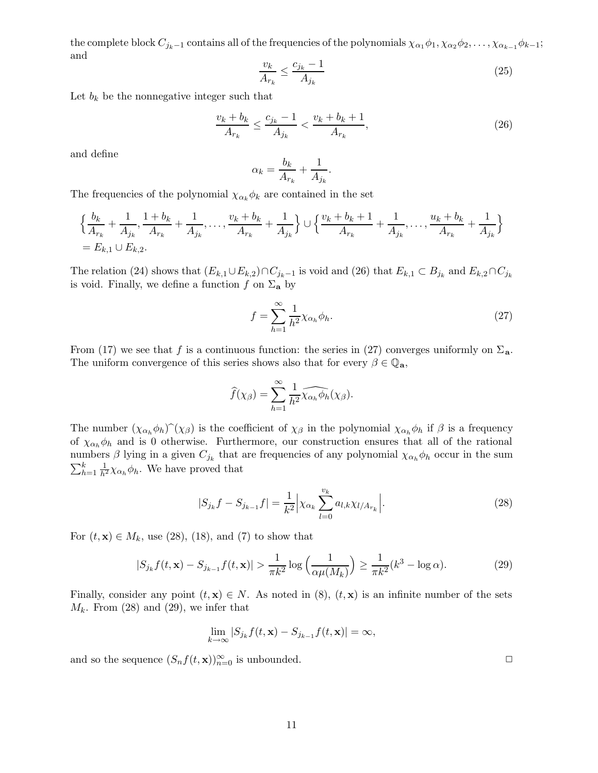the complete block  $C_{j_k-1}$  contains all of the frequencies of the polynomials  $\chi_{\alpha_1}\phi_1, \chi_{\alpha_2}\phi_2, \ldots, \chi_{\alpha_{k-1}}\phi_{k-1}$ ; and

$$
\frac{v_k}{A_{r_k}} \le \frac{c_{j_k} - 1}{A_{j_k}}\tag{25}
$$

Let  $b_k$  be the nonnegative integer such that

$$
\frac{v_k + b_k}{A_{r_k}} \le \frac{c_{j_k} - 1}{A_{j_k}} < \frac{v_k + b_k + 1}{A_{r_k}},\tag{26}
$$

and define

$$
\alpha_k = \frac{b_k}{A_{r_k}} + \frac{1}{A_{j_k}}.
$$

The frequencies of the polynomial  $\chi_{\alpha_k} \phi_k$  are contained in the set

$$
\left\{\frac{b_k}{A_{r_k}} + \frac{1}{A_{j_k}}, \frac{1+b_k}{A_{r_k}} + \frac{1}{A_{j_k}}, \dots, \frac{v_k+b_k}{A_{r_k}} + \frac{1}{A_{j_k}}\right\} \cup \left\{\frac{v_k+b_k+1}{A_{r_k}} + \frac{1}{A_{j_k}}, \dots, \frac{u_k+b_k}{A_{r_k}} + \frac{1}{A_{j_k}}\right\}
$$
  
=  $E_{k,1} \cup E_{k,2}$ .

The relation (24) shows that  $(E_{k,1} \cup E_{k,2}) \cap C_{j_k-1}$  is void and (26) that  $E_{k,1} \subset B_{j_k}$  and  $E_{k,2} \cap C_{j_k}$ is void. Finally, we define a function f on  $\Sigma_a$  by

$$
f = \sum_{h=1}^{\infty} \frac{1}{h^2} \chi_{\alpha_h} \phi_h.
$$
 (27)

From (17) we see that f is a continuous function: the series in (27) converges uniformly on  $\Sigma_a$ . The uniform convergence of this series shows also that for every  $\beta \in \mathbb{Q}_a$ ,

$$
\widehat{f}(\chi_{\beta}) = \sum_{h=1}^{\infty} \frac{1}{h^2} \widehat{\chi_{\alpha_h} \phi_h}(\chi_{\beta}).
$$

The number  $(\chi_{\alpha_h} \phi_h)(\chi_{\beta})$  is the coefficient of  $\chi_{\beta}$  in the polynomial  $\chi_{\alpha_h} \phi_h$  if  $\beta$  is a frequency of  $\chi_{\alpha_h} \phi_h$  and is 0 otherwise. Furthermore, our construction ensures that all of the rational numbers  $\beta$  lying in a given  $C_{j_k}$  that are frequencies of any polynomial  $\chi_{\alpha_k} \phi_h$  occur in the sum  $\sum_{h=1}^{k} \frac{1}{h^2} \chi_{\alpha_h} \phi_h$ . We have proved that

$$
|S_{j_k}f - S_{j_{k-1}}f| = \frac{1}{k^2} \Big| \chi_{\alpha_k} \sum_{l=0}^{v_k} a_{l,k} \chi_{l/A_{r_k}} \Big|.
$$
 (28)

For  $(t, \mathbf{x}) \in M_k$ , use (28), (18), and (7) to show that

$$
|S_{j_k}f(t, \mathbf{x}) - S_{j_{k-1}}f(t, \mathbf{x})| > \frac{1}{\pi k^2} \log \left(\frac{1}{\alpha \mu(M_k)}\right) \ge \frac{1}{\pi k^2} (k^3 - \log \alpha). \tag{29}
$$

Finally, consider any point  $(t, x) \in N$ . As noted in  $(8)$ ,  $(t, x)$  is an infinite number of the sets  $M_k$ . From (28) and (29), we infer that

$$
\lim_{k \to \infty} |S_{j_k} f(t, \mathbf{x}) - S_{j_{k-1}} f(t, \mathbf{x})| = \infty,
$$

and so the sequence  $(S_n f(t, \mathbf{x}))_{n=0}^{\infty}$  is unbounded.

11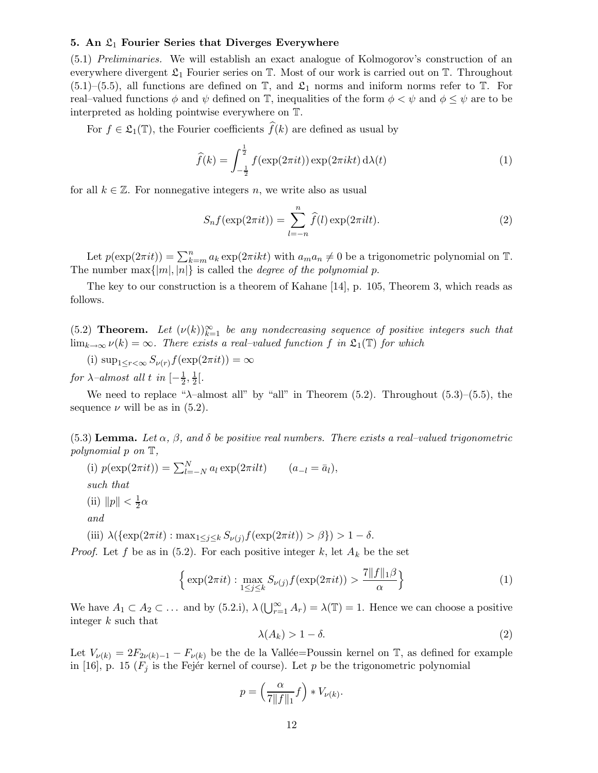#### 5. An  $\mathfrak{L}_1$  Fourier Series that Diverges Everywhere

(5.1) Preliminaries. We will establish an exact analogue of Kolmogorov's construction of an everywhere divergent  $\mathfrak{L}_1$  Fourier series on  $\mathbb T$ . Most of our work is carried out on  $\mathbb T$ . Throughout  $(5.1)$ – $(5.5)$ , all functions are defined on  $\mathbb{T}$ , and  $\mathfrak{L}_1$  norms and iniform norms refer to  $\mathbb{T}$ . For real–valued functions  $\phi$  and  $\psi$  defined on T, inequalities of the form  $\phi < \psi$  and  $\phi \leq \psi$  are to be interpreted as holding pointwise everywhere on T.

For  $f \in \mathfrak{L}_1(\mathbb{T})$ , the Fourier coefficients  $\widehat{f}(k)$  are defined as usual by

$$
\widehat{f}(k) = \int_{-\frac{1}{2}}^{\frac{1}{2}} f(\exp(2\pi i t)) \exp(2\pi i k t) d\lambda(t)
$$
\n(1)

for all  $k \in \mathbb{Z}$ . For nonnegative integers n, we write also as usual

$$
S_n f(\exp(2\pi i t)) = \sum_{l=-n}^{n} \widehat{f}(l) \exp(2\pi i l t).
$$
 (2)

Let  $p(\exp(2\pi it)) = \sum_{k=m}^{n} a_k \exp(2\pi i k t)$  with  $a_m a_n \neq 0$  be a trigonometric polynomial on T. The number max $\{|m|, |n|\}$  is called the *degree of the polynomial p*.

The key to our construction is a theorem of Kahane [14], p. 105, Theorem 3, which reads as follows.

(5.2) **Theorem.** Let  $(\nu(k))_{k=1}^{\infty}$  be any nondecreasing sequence of positive integers such that  $\lim_{k\to\infty}\nu(k)=\infty$ . There exists a real–valued function f in  $\mathfrak{L}_1(\mathbb{T})$  for which

(i)  $\sup_{1 \leq r \leq \infty} S_{\nu(r)} f(\exp(2\pi i t)) = \infty$ 

for  $\lambda$ –almost all t in  $\left[-\frac{1}{2}\right]$  $\frac{1}{2}, \frac{1}{2}$  $rac{1}{2}$ [.

We need to replace " $\lambda$ -almost all" by "all" in Theorem (5.2). Throughout (5.3)–(5.5), the sequence  $\nu$  will be as in (5.2).

(5.3) Lemma. Let  $\alpha$ ,  $\beta$ , and  $\delta$  be positive real numbers. There exists a real–valued trigonometric polynomial p on T,

(i)  $p(\exp(2\pi it)) = \sum_{l=-N}^{N} a_l \exp(2\pi ilt)$   $(a_{-l} = \bar{a}_l),$ such that (ii)  $\|p\| < \frac{1}{2}$  $rac{1}{2}\alpha$ and

(iii)  $\lambda(\{\exp(2\pi it) : \max_{1 \leq j \leq k} S_{\nu(j)} f(\exp(2\pi it)) > \beta\}) > 1 - \delta.$ 

*Proof.* Let f be as in  $(5.2)$ . For each positive integer k, let  $A_k$  be the set

$$
\left\{ \exp(2\pi i t) : \max_{1 \le j \le k} S_{\nu(j)} f(\exp(2\pi i t)) > \frac{7||f||_1 \beta}{\alpha} \right\} \tag{1}
$$

We have  $A_1 \subset A_2 \subset \ldots$  and by (5.2.i),  $\lambda(\bigcup_{r=1}^{\infty} A_r) = \lambda(\mathbb{T}) = 1$ . Hence we can choose a positive integer k such that

$$
\lambda(A_k) > 1 - \delta. \tag{2}
$$

Let  $V_{\nu(k)} = 2F_{2\nu(k)-1} - F_{\nu(k)}$  be the de la Vallée=Poussin kernel on T, as defined for example in [16], p. 15 ( $F_i$  is the Fejér kernel of course). Let p be the trigonometric polynomial

$$
p = \left(\frac{\alpha}{7||f||_1}f\right) * V_{\nu(k)}.
$$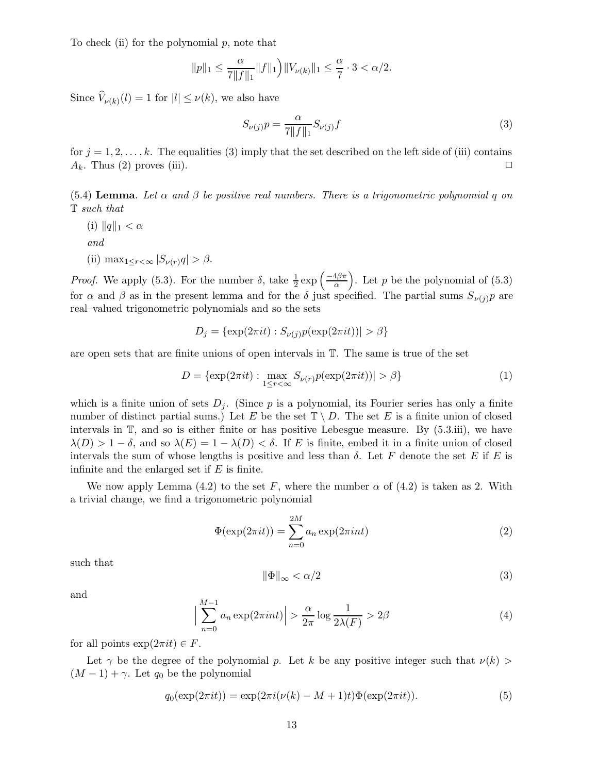To check (ii) for the polynomial  $p$ , note that

$$
||p||_1 \leq \frac{\alpha}{7||f||_1}||f||_1 \Big) ||V_{\nu(k)}||_1 \leq \frac{\alpha}{7} \cdot 3 < \alpha/2.
$$

Since  $V_{\nu(k)}(l) = 1$  for  $|l| \leq \nu(k)$ , we also have

$$
S_{\nu(j)}p = \frac{\alpha}{7||f||_1} S_{\nu(j)}f
$$
\n(3)

for  $j = 1, 2, \ldots, k$ . The equalities (3) imply that the set described on the left side of (iii) contains  $A_k$ . Thus (2) proves (iii).

(5.4) Lemma. Let  $\alpha$  and  $\beta$  be positive real numbers. There is a trigonometric polynomial q on T such that

- (i)  $||q||_1 < \alpha$ and
- (ii)  $\max_{1 \leq r < \infty} |S_{\nu(r)}q| > \beta.$

*Proof.* We apply (5.3). For the number  $\delta$ , take  $\frac{1}{2}$  $rac{1}{2}$  exp  $\left(\frac{-4\beta\pi}{\alpha}\right)$ α ). Let  $p$  be the polynomial of  $(5.3)$ for  $\alpha$  and  $\beta$  as in the present lemma and for the  $\delta$  just specified. The partial sums  $S_{\nu(i)}p$  are real–valued trigonometric polynomials and so the sets

$$
D_j = \{ \exp(2\pi i t) : S_{\nu(j)} p(\exp(2\pi i t)) \ge \beta \}
$$

are open sets that are finite unions of open intervals in T. The same is true of the set

$$
D = \{\exp(2\pi it) : \max_{1 \le r < \infty} S_{\nu(r)} p(\exp(2\pi it)) > \beta\} \tag{1}
$$

which is a finite union of sets  $D_i$ . (Since p is a polynomial, its Fourier series has only a finite number of distinct partial sums.) Let E be the set  $\mathbb{T} \setminus D$ . The set E is a finite union of closed intervals in T, and so is either finite or has positive Lebesgue measure. By (5.3.iii), we have  $\lambda(D) > 1 - \delta$ , and so  $\lambda(E) = 1 - \lambda(D) < \delta$ . If E is finite, embed it in a finite union of closed intervals the sum of whose lengths is positive and less than  $\delta$ . Let F denote the set E if E is infinite and the enlarged set if  $E$  is finite.

We now apply Lemma (4.2) to the set F, where the number  $\alpha$  of (4.2) is taken as 2. With a trivial change, we find a trigonometric polynomial

$$
\Phi(\exp(2\pi it)) = \sum_{n=0}^{2M} a_n \exp(2\pi int)
$$
\n(2)

such that

$$
\|\Phi\|_{\infty} < \alpha/2 \tag{3}
$$

and

$$
\left| \sum_{n=0}^{M-1} a_n \exp(2\pi int) \right| > \frac{\alpha}{2\pi} \log \frac{1}{2\lambda(F)} > 2\beta \tag{4}
$$

for all points  $\exp(2\pi i t) \in F$ .

Let  $\gamma$  be the degree of the polynomial p. Let k be any positive integer such that  $\nu(k)$  $(M-1) + \gamma$ . Let q<sub>0</sub> be the polynomial

$$
q_0(\exp(2\pi i t)) = \exp(2\pi i(\nu(k) - M + 1)t)\Phi(\exp(2\pi i t)).
$$
\n(5)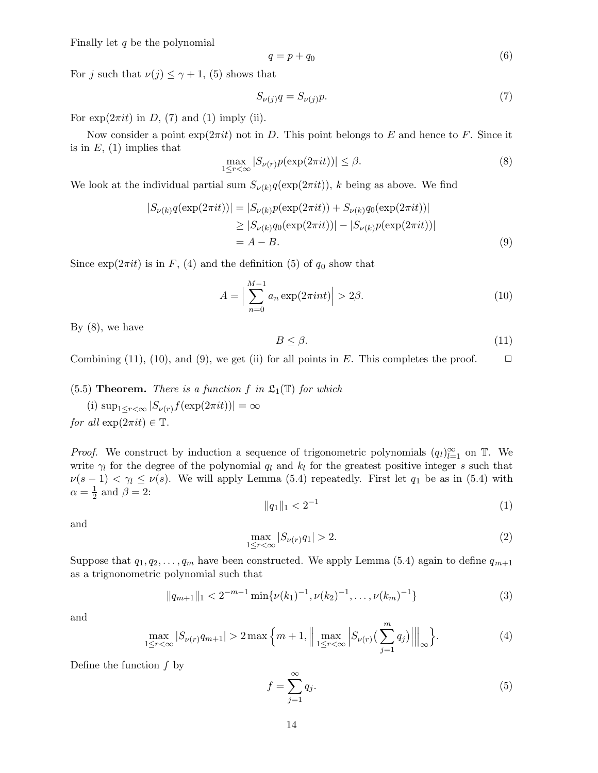Finally let  $q$  be the polynomial

$$
q = p + q_0 \tag{6}
$$

For j such that  $\nu(j) \leq \gamma + 1$ , (5) shows that

$$
S_{\nu(j)}q = S_{\nu(j)}p.\tag{7}
$$

For  $\exp(2\pi i t)$  in D, (7) and (1) imply (ii).

Now consider a point  $\exp(2\pi i t)$  not in D. This point belongs to E and hence to F. Since it is in  $E$ , (1) implies that

$$
\max_{1 \le r < \infty} |S_{\nu(r)} p(\exp(2\pi i t))| \le \beta. \tag{8}
$$

We look at the individual partial sum  $S_{\nu(k)}q(\exp(2\pi it))$ , k being as above. We find

$$
|S_{\nu(k)}q(\exp(2\pi it))| = |S_{\nu(k)}p(\exp(2\pi it)) + S_{\nu(k)}q_0(\exp(2\pi it))|
$$
  
\n
$$
\geq |S_{\nu(k)}q_0(\exp(2\pi it))| - |S_{\nu(k)}p(\exp(2\pi it))|
$$
  
\n
$$
= A - B.
$$
\n(9)

Since  $\exp(2\pi i t)$  is in F, (4) and the definition (5) of  $q_0$  show that

$$
A = \Big|\sum_{n=0}^{M-1} a_n \exp(2\pi int)\Big| > 2\beta.
$$
 (10)

By  $(8)$ , we have

$$
B \le \beta. \tag{11}
$$

Combining (11), (10), and (9), we get (ii) for all points in E. This completes the proof.  $\Box$ 

(5.5) **Theorem.** There is a function f in  $\mathfrak{L}_1(\mathbb{T})$  for which

(i)  $\sup_{1 \leq r < \infty} |S_{\nu(r)} f(\exp(2\pi i t))| = \infty$ for all  $\exp(2\pi it) \in \mathbb{T}$ .

*Proof.* We construct by induction a sequence of trigonometric polynomials  $(q_l)_{l=1}^{\infty}$  on T. We write  $\gamma_l$  for the degree of the polynomial  $q_l$  and  $k_l$  for the greatest positive integer s such that  $\nu(s-1) < \gamma_l \leq \nu(s)$ . We will apply Lemma (5.4) repeatedly. First let  $q_1$  be as in (5.4) with  $\alpha = \frac{1}{2}$  $\frac{1}{2}$  and  $\beta = 2$ :

$$
||q_1||_1 < 2^{-1}
$$
 (1)

and

$$
\max_{1 \le r < \infty} |S_{\nu(r)} q_1| > 2. \tag{2}
$$

Suppose that  $q_1, q_2, \ldots, q_m$  have been constructed. We apply Lemma (5.4) again to define  $q_{m+1}$ as a trignonometric polynomial such that

$$
||q_{m+1}||_1 < 2^{-m-1} \min{\{\nu(k_1)^{-1}, \nu(k_2)^{-1}, \dots, \nu(k_m)^{-1}\}}
$$
\n(3)

and

$$
\max_{1 \le r < \infty} |S_{\nu(r)}q_{m+1}| > 2 \max \left\{ m+1, \left\| \max_{1 \le r < \infty} \left| S_{\nu(r)} \left( \sum_{j=1}^m q_j \right) \right| \right\|_{\infty} \right\}. \tag{4}
$$

Define the function  $f$  by

$$
f = \sum_{j=1}^{\infty} q_j.
$$
 (5)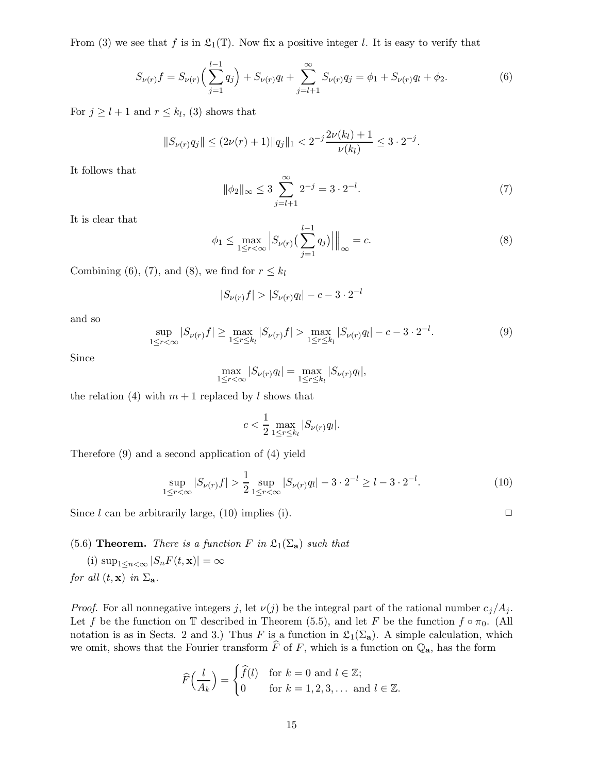From (3) we see that f is in  $\mathfrak{L}_1(\mathbb{T})$ . Now fix a positive integer l. It is easy to verify that

$$
S_{\nu(r)}f = S_{\nu(r)}\left(\sum_{j=1}^{l-1} q_j\right) + S_{\nu(r)}q_l + \sum_{j=l+1}^{\infty} S_{\nu(r)}q_j = \phi_1 + S_{\nu(r)}q_l + \phi_2.
$$
 (6)

For  $j \geq l+1$  and  $r \leq k_l$ , (3) shows that

$$
||S_{\nu(r)}q_j|| \le (2\nu(r)+1)||q_j||_1 < 2^{-j}\frac{2\nu(k_l)+1}{\nu(k_l)} \le 3 \cdot 2^{-j}.
$$

It follows that

$$
\|\phi_2\|_{\infty} \le 3 \sum_{j=l+1}^{\infty} 2^{-j} = 3 \cdot 2^{-l}.
$$
 (7)

It is clear that

$$
\phi_1 \le \max_{1 \le r < \infty} \left| S_{\nu(r)} \left( \sum_{j=1}^{l-1} q_j \right) \right| \Big|_{\infty} = c. \tag{8}
$$

Combining (6), (7), and (8), we find for  $r \leq k_l$ 

$$
|S_{\nu(r)}f| > |S_{\nu(r)}q_l| - c - 3 \cdot 2^{-l}
$$

and so

$$
\sup_{1 \le r < \infty} |S_{\nu(r)}f| \ge \max_{1 \le r \le k_l} |S_{\nu(r)}f| > \max_{1 \le r \le k_l} |S_{\nu(r)}g_l| - c - 3 \cdot 2^{-l}.\tag{9}
$$

Since

$$
\max_{1 \leq r < \infty} |S_{\nu(r)} q_l| = \max_{1 \leq r \leq k_l} |S_{\nu(r)} q_l|,
$$

the relation (4) with  $m + 1$  replaced by l shows that

$$
c < \frac{1}{2} \max_{1 \le r \le k_l} |S_{\nu(r)} q_l|.
$$

Therefore (9) and a second application of (4) yield

$$
\sup_{1 \le r < \infty} |S_{\nu(r)}f| > \frac{1}{2} \sup_{1 \le r < \infty} |S_{\nu(r)}g_l| - 3 \cdot 2^{-l} \ge l - 3 \cdot 2^{-l}.\tag{10}
$$

Since l can be arbitrarily large,  $(10)$  implies  $(i)$ .

(5.6) Theorem. There is a function F in  $\mathfrak{L}_1(\Sigma_a)$  such that

(i)  $\sup_{1 \leq n < \infty} |S_n F(t, \mathbf{x})| = \infty$ for all  $(t, \mathbf{x})$  in  $\Sigma_{\mathbf{a}}$ .

*Proof.* For all nonnegative integers j, let  $\nu(j)$  be the integral part of the rational number  $c_j/A_j$ . Let f be the function on T described in Theorem (5.5), and let F be the function  $f \circ \pi_0$ . (All notation is as in Sects. 2 and 3.) Thus F is a function in  $\mathfrak{L}_1(\Sigma_a)$ . A simple calculation, which we omit, shows that the Fourier transform  $\overline{F}$  of  $F$ , which is a function on  $\mathbb{Q}_a$ , has the form

$$
\widehat{F}\left(\frac{l}{A_k}\right) = \begin{cases} \widehat{f}(l) & \text{for } k = 0 \text{ and } l \in \mathbb{Z}; \\ 0 & \text{for } k = 1, 2, 3, \dots \text{ and } l \in \mathbb{Z}. \end{cases}
$$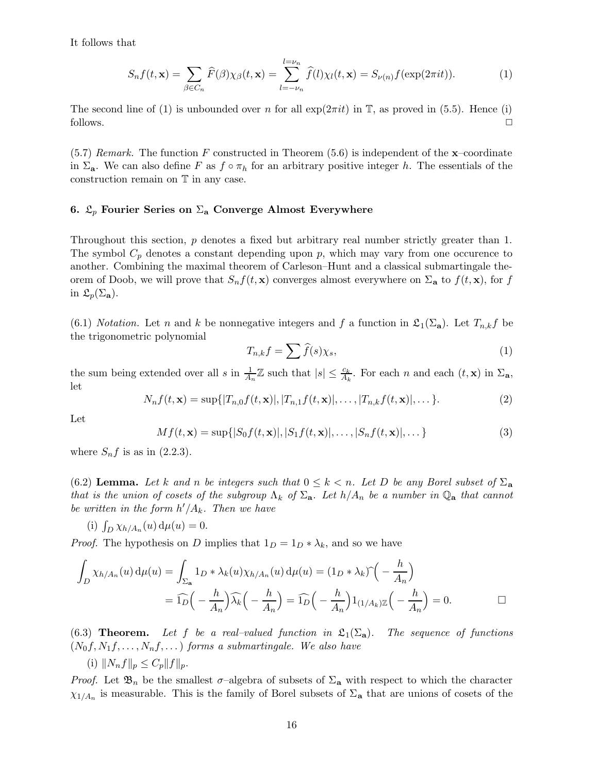It follows that

$$
S_n f(t, \mathbf{x}) = \sum_{\beta \in C_n} \widehat{F}(\beta) \chi_{\beta}(t, \mathbf{x}) = \sum_{l = -\nu_n}^{l = \nu_n} \widehat{f}(l) \chi_l(t, \mathbf{x}) = S_{\nu(n)} f(\exp(2\pi i t)).
$$
\n(1)

The second line of (1) is unbounded over n for all  $\exp(2\pi i t)$  in T, as proved in (5.5). Hence (i) follows.  $\Box$ 

 $(5.7)$  Remark. The function F constructed in Theorem  $(5.6)$  is independent of the **x**-coordinate in  $\Sigma_a$ . We can also define F as  $f \circ \pi_h$  for an arbitrary positive integer h. The essentials of the construction remain on T in any case.

## 6.  $\mathfrak{L}_n$  Fourier Series on  $\Sigma_a$  Converge Almost Everywhere

Throughout this section, p denotes a fixed but arbitrary real number strictly greater than 1. The symbol  $C_p$  denotes a constant depending upon p, which may vary from one occurence to another. Combining the maximal theorem of Carleson–Hunt and a classical submartingale theorem of Doob, we will prove that  $S_n f(t, x)$  converges almost everywhere on  $\Sigma_a$  to  $f(t, x)$ , for f in  $\mathfrak{L}_p(\Sigma_{\mathbf{a}})$ .

(6.1) Notation. Let n and k be nonnegative integers and f a function in  $\mathfrak{L}_1(\Sigma_a)$ . Let  $T_{n,k}f$  be the trigonometric polynomial

$$
T_{n,k}f = \sum \widehat{f}(s)\chi_s,\tag{1}
$$

the sum being extended over all s in  $\frac{1}{A_n}\mathbb{Z}$  such that  $|s| \leq \frac{c_k}{A_k}$  $\frac{c_k}{A_k}$ . For each n and each  $(t, \mathbf{x})$  in  $\Sigma_{\mathbf{a}}$ , let

$$
N_n f(t, \mathbf{x}) = \sup\{|T_{n,0}f(t, \mathbf{x})|, |T_{n,1}f(t, \mathbf{x})|, \dots, |T_{n,k}f(t, \mathbf{x})|, \dots\}.
$$
 (2)

Let

$$
Mf(t, \mathbf{x}) = \sup\{|S_0f(t, \mathbf{x})|, |S_1f(t, \mathbf{x})|, \dots, |S_nf(t, \mathbf{x})|, \dots\}
$$
(3)

where  $S_n f$  is as in (2.2.3).

(6.2) Lemma. Let k and n be integers such that  $0 \leq k < n$ . Let D be any Borel subset of  $\Sigma_a$ that is the union of cosets of the subgroup  $\Lambda_k$  of  $\Sigma_a$ . Let  $h/A_n$  be a number in  $\mathbb{Q}_a$  that cannot be written in the form  $h'/A_k$ . Then we have

(i) 
$$
\int_D \chi_{h/A_n}(u) d\mu(u) = 0.
$$

*Proof.* The hypothesis on D implies that  $1_D = 1_D * \lambda_k$ , and so we have

$$
\int_{D} \chi_{h/A_n}(u) d\mu(u) = \int_{\Sigma_{\mathbf{a}}} 1_D * \lambda_k(u) \chi_{h/A_n}(u) d\mu(u) = (1_D * \lambda_k) \hat{ } \begin{pmatrix} -\frac{h}{A_n} \end{pmatrix}
$$

$$
= \widehat{1_D} \Big( -\frac{h}{A_n} \Big) \widehat{\lambda_k} \Big( -\frac{h}{A_n} \Big) = \widehat{1_D} \Big( -\frac{h}{A_n} \Big) 1_{(1/A_k) \mathbb{Z}} \Big( -\frac{h}{A_n} \Big) = 0.
$$

(6.3) **Theorem.** Let f be a real–valued function in  $\mathfrak{L}_1(\Sigma_a)$ . The sequence of functions  $(N_0f, N_1f, \ldots, N_nf, \ldots)$  forms a submartingale. We also have

(i)  $||N_nf||_p \leq C_p ||f||_p$ .

*Proof.* Let  $\mathfrak{B}_n$  be the smallest  $\sigma$ -algebra of subsets of  $\Sigma_a$  with respect to which the character  $\chi_{1/A_n}$  is measurable. This is the family of Borel subsets of  $\Sigma_a$  that are unions of cosets of the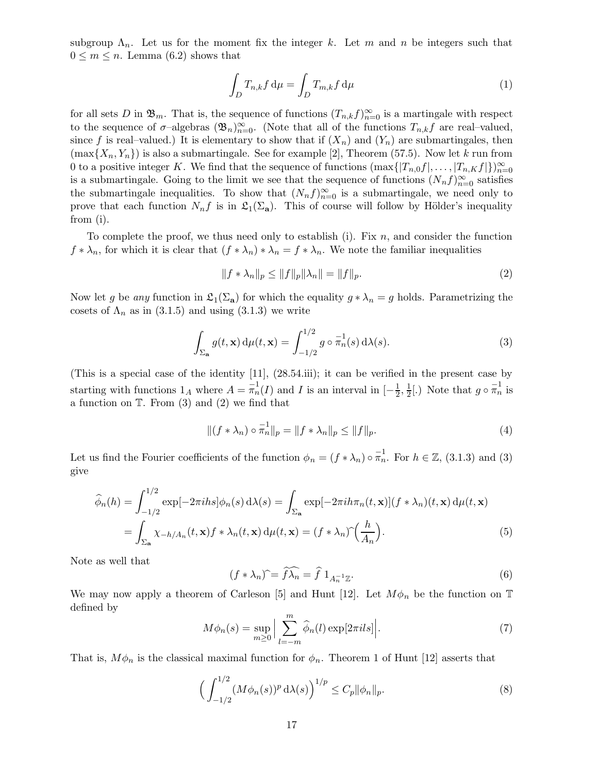subgroup  $\Lambda_n$ . Let us for the moment fix the integer k. Let m and n be integers such that  $0 \leq m \leq n$ . Lemma (6.2) shows that

$$
\int_{D} T_{n,k} f \, \mathrm{d}\mu = \int_{D} T_{m,k} f \, \mathrm{d}\mu \tag{1}
$$

for all sets D in  $\mathfrak{B}_m$ . That is, the sequence of functions  $(T_{n,k}f)_{n=0}^{\infty}$  is a martingale with respect to the sequence of  $\sigma$ -algebras  $(\mathfrak{B}_n)_{n=0}^{\infty}$ . (Note that all of the functions  $T_{n,k}f$  are real-valued, since f is real–valued.) It is elementary to show that if  $(X_n)$  and  $(Y_n)$  are submartingales, then  $(\max\{X_n, Y_n\})$  is also a submartingale. See for example [2], Theorem (57.5). Now let k run from 0 to a positive integer K. We find that the sequence of functions  $(\max\{|T_{n,0}f|,\ldots,|T_{n,K}f|\})_{n=0}^{\infty}$ is a submartingale. Going to the limit we see that the sequence of functions  $(N_n f)_{n=0}^{\infty}$  satisfies the submartingale inequalities. To show that  $(N_n f)_{n=0}^{\infty}$  is a submartingale, we need only to prove that each function  $N_n f$  is in  $\mathfrak{L}_1(\Sigma_a)$ . This of course will follow by Hölder's inequality from (i).

To complete the proof, we thus need only to establish (i). Fix  $n$ , and consider the function  $f * \lambda_n$ , for which it is clear that  $(f * \lambda_n) * \lambda_n = f * \lambda_n$ . We note the familiar inequalities

$$
||f * \lambda_n||_p \le ||f||_p ||\lambda_n|| = ||f||_p.
$$
 (2)

Now let g be any function in  $\mathfrak{L}_1(\Sigma_a)$  for which the equality  $g * \lambda_n = g$  holds. Parametrizing the cosets of  $\Lambda_n$  as in (3.1.5) and using (3.1.3) we write

$$
\int_{\Sigma_{\mathbf{a}}} g(t, \mathbf{x}) d\mu(t, \mathbf{x}) = \int_{-1/2}^{1/2} g \circ \overline{\pi}_n^1(s) d\lambda(s).
$$
 (3)

(This is a special case of the identity [11], (28.54.iii); it can be verified in the present case by starting with functions  $1_A$  where  $A = \overline{\pi}_n^1(I)$  and I is an interval in  $\left[-\frac{1}{2}\right]$  $\frac{1}{2}, \frac{1}{2}$  $\frac{1}{2}$ [.) Note that  $g \circ \pi_n^{-1}$  is a function on  $\mathbb{T}$ . From (3) and (2) we find that

$$
\|(f * \lambda_n) \circ \pi_n^1\|_p = \|f * \lambda_n\|_p \le \|f\|_p. \tag{4}
$$

Let us find the Fourier coefficients of the function  $\phi_n = (f * \lambda_n) \circ \overline{\pi}_n^1$ . For  $h \in \mathbb{Z}$ , (3.1.3) and (3) give

$$
\widehat{\phi}_n(h) = \int_{-1/2}^{1/2} \exp[-2\pi i h s] \phi_n(s) d\lambda(s) = \int_{\Sigma_{\mathbf{a}}} \exp[-2\pi i h \pi_n(t, \mathbf{x})](f * \lambda_n)(t, \mathbf{x}) d\mu(t, \mathbf{x})
$$

$$
= \int_{\Sigma_{\mathbf{a}}} \chi_{-h/A_n}(t, \mathbf{x}) f * \lambda_n(t, \mathbf{x}) d\mu(t, \mathbf{x}) = (f * \lambda_n) \widehat{\left(\frac{h}{A_n}\right)}.
$$
(5)

Note as well that

$$
(f * \lambda_n) \widehat{\ } = \widehat{f} \widehat{\lambda_n} = \widehat{f} \ 1_{A_n^{-1} \mathbb{Z}}.
$$

We may now apply a theorem of Carleson [5] and Hunt [12]. Let  $M\phi_n$  be the function on T defined by

$$
M\phi_n(s) = \sup_{m\geq 0} \Big| \sum_{l=-m}^m \widehat{\phi}_n(l) \exp[2\pi i l s] \Big|.
$$
 (7)

That is,  $M\phi_n$  is the classical maximal function for  $\phi_n$ . Theorem 1 of Hunt [12] asserts that

$$
\left(\int_{-1/2}^{1/2} (M\phi_n(s))^p \,d\lambda(s)\right)^{1/p} \le C_p \|\phi_n\|_p. \tag{8}
$$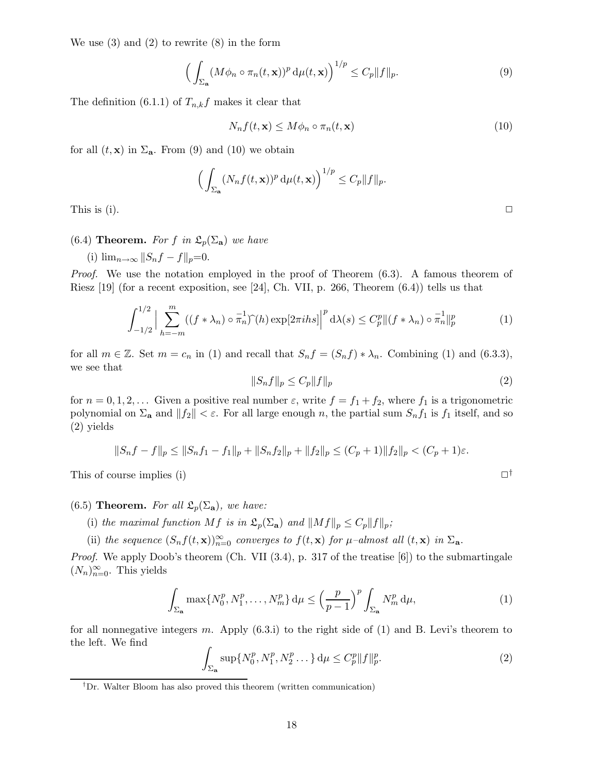We use (3) and (2) to rewrite (8) in the form

$$
\left(\int_{\Sigma_{\mathbf{a}}}(M\phi_n \circ \pi_n(t,\mathbf{x}))^p \,d\mu(t,\mathbf{x})\right)^{1/p} \le C_p \|f\|_p.
$$
\n(9)

The definition (6.1.1) of  $T_{n,k}f$  makes it clear that

$$
N_n f(t, \mathbf{x}) \le M \phi_n \circ \pi_n(t, \mathbf{x}) \tag{10}
$$

for all  $(t, \mathbf{x})$  in  $\Sigma_{\mathbf{a}}$ . From (9) and (10) we obtain

$$
\left(\int_{\Sigma_{\mathbf{a}}}(N_n f(t,\mathbf{x}))^p d\mu(t,\mathbf{x})\right)^{1/p} \le C_p \|f\|_p.
$$
 This is (i).

## (6.4) **Theorem.** For f in  $\mathfrak{L}_p(\Sigma_a)$  we have

(i)  $\lim_{n\to\infty}||S_nf-f||_p=0.$ 

Proof. We use the notation employed in the proof of Theorem  $(6.3)$ . A famous theorem of Riesz [19] (for a recent exposition, see [24], Ch. VII, p. 266, Theorem (6.4)) tells us that

$$
\int_{-1/2}^{1/2} \Big| \sum_{h=-m}^{m} ((f \ast \lambda_n) \circ \overline{\pi}_n) \widehat{\ } (h) \exp[2\pi i h s] \Big|^p d\lambda(s) \le C_p^p \|(f \ast \lambda_n) \circ \overline{\pi}_n^1\|_p^p \tag{1}
$$

for all  $m \in \mathbb{Z}$ . Set  $m = c_n$  in (1) and recall that  $S_n f = (S_n f) * \lambda_n$ . Combining (1) and (6.3.3), we see that

$$
||S_n f||_p \le C_p ||f||_p \tag{2}
$$

for  $n = 0, 1, 2, \ldots$  Given a positive real number  $\varepsilon$ , write  $f = f_1 + f_2$ , where  $f_1$  is a trigonometric polynomial on  $\Sigma_a$  and  $||f_2|| < \varepsilon$ . For all large enough n, the partial sum  $S_n f_1$  is  $f_1$  itself, and so (2) yields

$$
||S_nf-f||_p \le ||S_nf_1-f_1||_p + ||S_nf_2||_p + ||f_2||_p \le (C_p+1)||f_2||_p < (C_p+1)\varepsilon.
$$

This of course implies (i)  $\Box^{\dagger}$ 

(6.5) Theorem. For all  $\mathfrak{L}_p(\Sigma_a)$ , we have:

- (i) the maximal function Mf is in  $\mathfrak{L}_p(\Sigma_{\mathbf{a}})$  and  $||Mf||_p \leq C_p||f||_p$ ;
- (ii) the sequence  $(S_n f(t, \mathbf{x}))_{n=0}^{\infty}$  converges to  $f(t, \mathbf{x})$  for  $\mu$ -almost all  $(t, \mathbf{x})$  in  $\Sigma_{\mathbf{a}}$ .

Proof. We apply Doob's theorem (Ch. VII (3.4), p. 317 of the treatise [6]) to the submartingale  $(N_n)_{n=0}^{\infty}$ . This yields

$$
\int_{\Sigma_{\mathbf{a}}} \max\{N_0^p, N_1^p, \dots, N_m^p\} d\mu \le \left(\frac{p}{p-1}\right)^p \int_{\Sigma_{\mathbf{a}}} N_m^p d\mu,\tag{1}
$$

for all nonnegative integers m. Apply  $(6.3.i)$  to the right side of  $(1)$  and B. Levi's theorem to the left. We find

$$
\int_{\Sigma_{\mathbf{a}}} \sup \{ N_0^p, N_1^p, N_2^p \dots \} d\mu \le C_p^p \| f \|_p^p. \tag{2}
$$

<sup>&</sup>lt;sup>†</sup>Dr. Walter Bloom has also proved this theorem (written communication)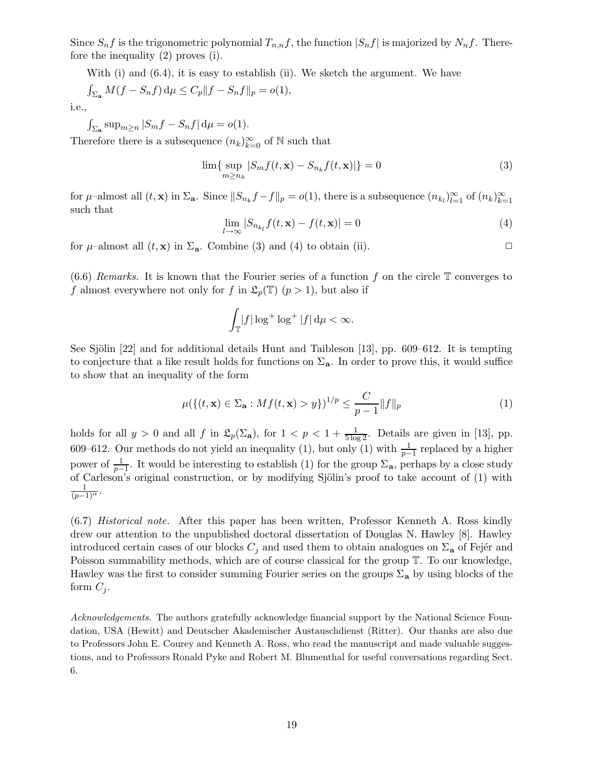Since  $S_n f$  is the trigonometric polynomial  $T_{n,n} f$ , the function  $|S_n f|$  is majorized by  $N_n f$ . Therefore the inequality (2) proves (i).

With  $(i)$  and  $(6.4)$ , it is easy to establish  $(ii)$ . We sketch the argument. We have

$$
\int_{\Sigma_{\mathbf{a}}} M(f - S_n f) d\mu \le C_p ||f - S_n f||_p = o(1),
$$

i.e.,

 $\int_{\Sigma_{\mathbf{a}}} \sup_{m\geq n} |S_m f - S_n f| d\mu = o(1).$ 

Therefore there is a subsequence  $(n_k)_{k=0}^{\infty}$  of N such that

$$
\lim_{m \ge n_k} |S_m f(t, \mathbf{x}) - S_{n_k} f(t, \mathbf{x})| \} = 0
$$
\n(3)

for  $\mu$ -almost all  $(t, \mathbf{x})$  in  $\Sigma_{\mathbf{a}}$ . Since  $||S_{n_k}f - f||_p = o(1)$ , there is a subsequence  $(n_{k_l})_{l=1}^{\infty}$  of  $(n_k)_{k=1}^{\infty}$ such that

$$
\lim_{l \to \infty} |S_{n_{k_l}} f(t, \mathbf{x}) - f(t, \mathbf{x})| = 0
$$
\n(4)

for  $\mu$ –almost all  $(t, \mathbf{x})$  in  $\Sigma_a$ . Combine (3) and (4) to obtain (ii).

 $(6.6)$  Remarks. It is known that the Fourier series of a function f on the circle  $\mathbb T$  converges to f almost everywhere not only for f in  $\mathfrak{L}_p(\mathbb{T})$   $(p > 1)$ , but also if

$$
\int_{\mathbb{T}} |f| \log^+ \log^+ |f| \, \mathrm{d}\mu < \infty.
$$

See Sjölin  $[22]$  and for additional details Hunt and Taibleson  $[13]$ , pp. 609–612. It is tempting to conjecture that a like result holds for functions on  $\Sigma_a$ . In order to prove this, it would suffice to show that an inequality of the form

$$
\mu(\{(t, \mathbf{x}) \in \Sigma_{\mathbf{a}} : Mf(t, \mathbf{x}) > y\})^{1/p} \le \frac{C}{p-1} ||f||_p
$$
\n(1)

holds for all  $y > 0$  and all f in  $\mathfrak{L}_p(\Sigma_{\mathbf{a}})$ , for  $1 < p < 1 + \frac{1}{5 \log n}$  $\frac{1}{5 \log 2}$ . Details are given in [13], pp. 609–612. Our methods do not yield an inequality (1), but only (1) with  $\frac{1}{p-1}$  replaced by a higher power of  $\frac{1}{p-1}$ . It would be interesting to establish (1) for the group  $\Sigma_{\mathbf{a}}$ , perhaps by a close study of Carleson's original construction, or by modifying Sjölin's proof to take account of (1) with  $\frac{1}{(p-1)^{\alpha}}$ .

(6.7) Historical note. After this paper has been written, Professor Kenneth A. Ross kindly drew our attention to the unpublished doctoral dissertation of Douglas N. Hawley [8]. Hawley introduced certain cases of our blocks  $C_i$  and used them to obtain analogues on  $\Sigma_a$  of Fejér and Poisson summability methods, which are of course classical for the group T. To our knowledge, Hawley was the first to consider summing Fourier series on the groups  $\Sigma_a$  by using blocks of the form  $C_i$ .

Acknowledgements. The authors gratefully acknowledge financial support by the National Science Foundation, USA (Hewitt) and Deutscher Akademischer Austauschdienst (Ritter). Our thanks are also due to Professors John E. Courey and Kenneth A. Ross, who read the manuscript and made valuable suggestions, and to Professors Ronald Pyke and Robert M. Blumenthal for useful conversations regarding Sect. 6.